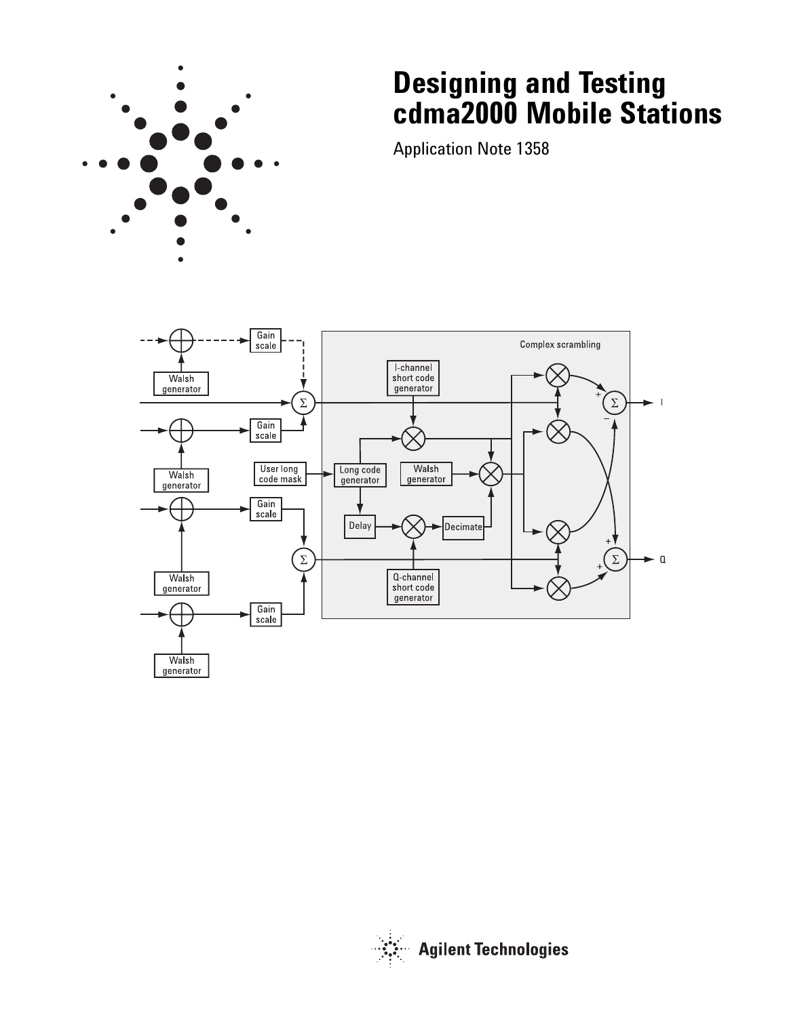

# **Designing and Testing cdma2000 Mobile Stations**

Application Note 1358



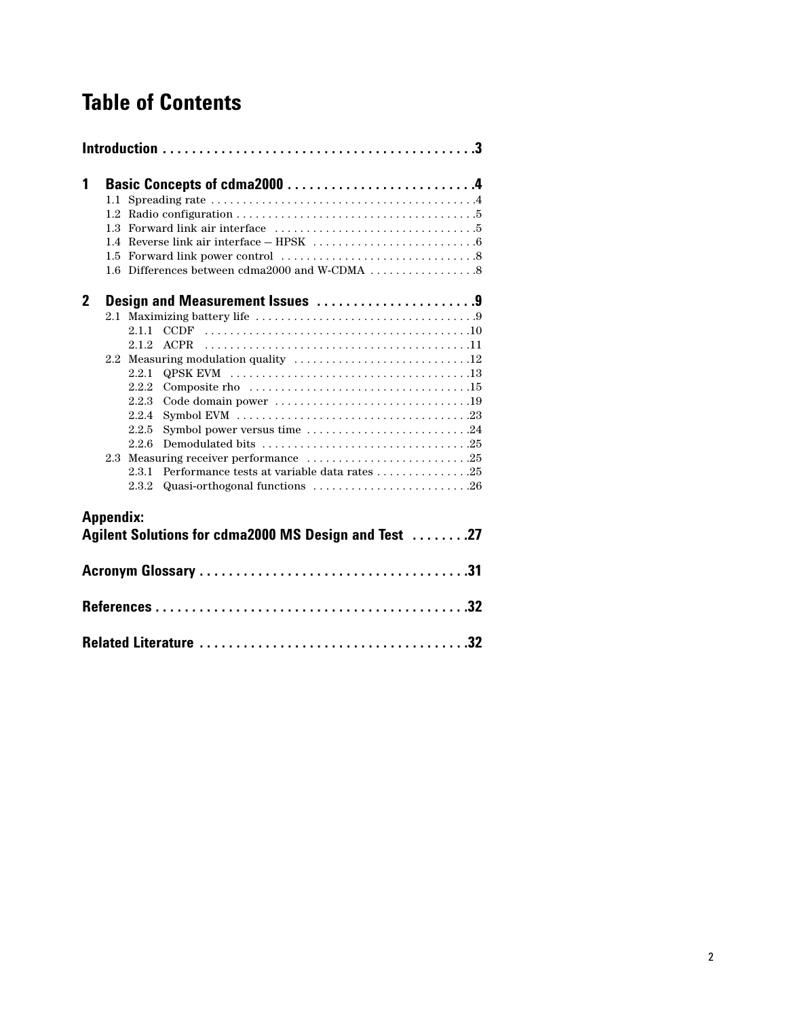# **Table of Contents**

| 1            |                  | Basic Concepts of cdma2000 4<br>1.3 Forward link air interface $\ldots \ldots \ldots \ldots \ldots \ldots \ldots \ldots \ldots$                                                                          |
|--------------|------------------|----------------------------------------------------------------------------------------------------------------------------------------------------------------------------------------------------------|
| $\mathbf{2}$ |                  | Design and Measurement Issues 9<br>2.1.1<br>2.1.2<br><b>ACPR</b><br>2.2.1<br>2.2.2<br>2.2.3<br>2.2.4<br>Symbol power versus time 24<br>2.2.5<br>2.2.6<br>2.3.1<br>Quasi-orthogonal functions 26<br>2.3.2 |
|              | <b>Appendix:</b> | Agilent Solutions for cdma2000 MS Design and Test 27                                                                                                                                                     |
|              |                  |                                                                                                                                                                                                          |
|              |                  |                                                                                                                                                                                                          |
|              |                  |                                                                                                                                                                                                          |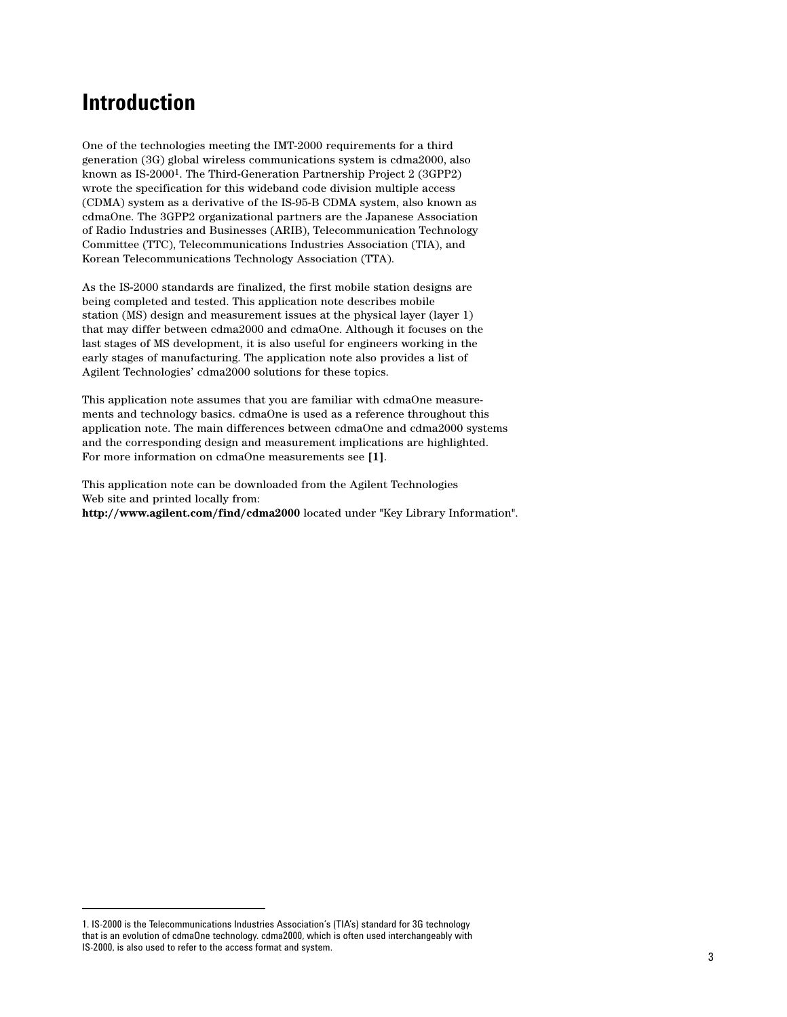## **Introduction**

One of the technologies meeting the IMT-2000 requirements for a third generation (3G) global wireless communications system is cdma2000, also known as IS-20001. The Third-Generation Partnership Project 2 (3GPP2) wrote the specification for this wideband code division multiple access (CDMA) system as a derivative of the IS-95-B CDMA system, also known as cdmaOne. The 3GPP2 organizational partners are the Japanese Association of Radio Industries and Businesses (ARIB), Telecommunication Technology Committee (TTC), Telecommunications Industries Association (TIA), and Korean Telecommunications Technology Association (TTA).

As the IS-2000 standards are finalized, the first mobile station designs are being completed and tested. This application note describes mobile station (MS) design and measurement issues at the physical layer (layer 1) that may differ between cdma2000 and cdmaOne. Although it focuses on the last stages of MS development, it is also useful for engineers working in the early stages of manufacturing. The application note also provides a list of Agilent Technologies' cdma2000 solutions for these topics.

This application note assumes that you are familiar with cdmaOne measurements and technology basics. cdmaOne is used as a reference throughout this application note. The main differences between cdmaOne and cdma2000 systems and the corresponding design and measurement implications are highlighted. For more information on cdmaOne measurements see **[1]**.

This application note can be downloaded from the Agilent Technologies Web site and printed locally from: **http://www.agilent.com/find/cdma2000** located under "Key Library Information".

<sup>1.</sup> IS-2000 is the Telecommunications Industries Association's (TIA's) standard for 3G technology that is an evolution of cdmaOne technology. cdma2000, which is often used interchangeably with IS-2000, is also used to refer to the access format and system.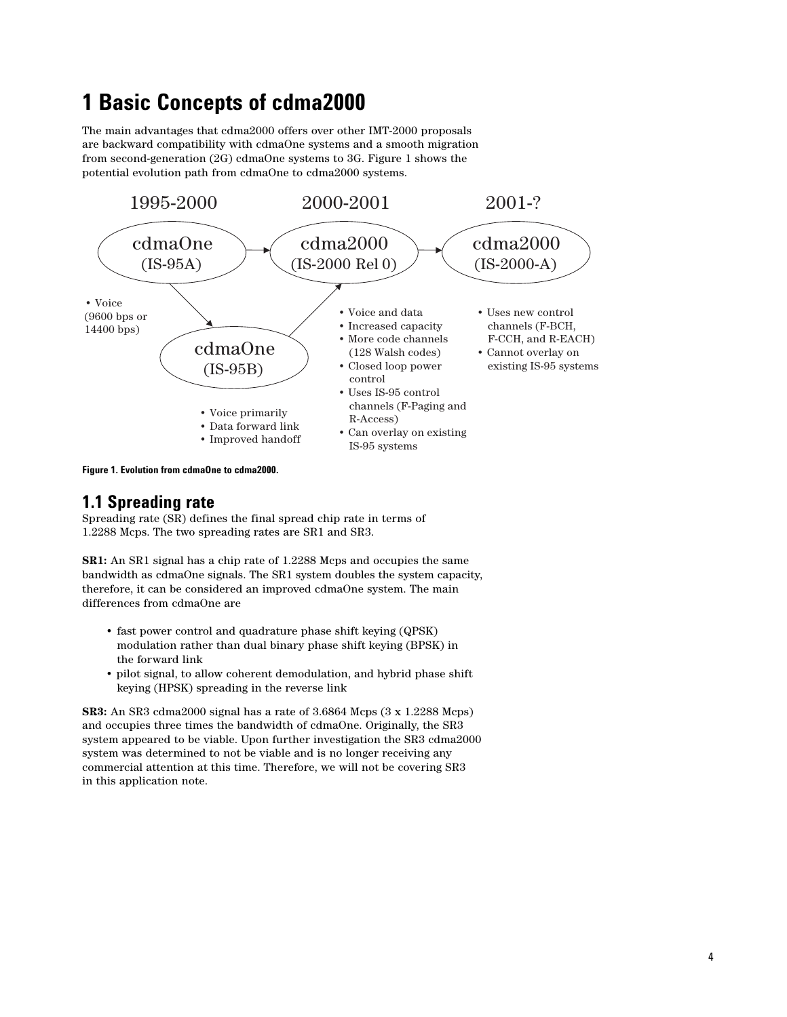# **1 Basic Concepts of cdma2000**

The main advantages that cdma2000 offers over other IMT-2000 proposals are backward compatibility with cdmaOne systems and a smooth migration from second-generation (2G) cdmaOne systems to 3G. Figure 1 shows the potential evolution path from cdmaOne to cdma2000 systems.



**Figure 1. Evolution from cdmaOne to cdma2000.**

## **1.1 Spreading rate**

Spreading rate (SR) defines the final spread chip rate in terms of 1.2288 Mcps. The two spreading rates are SR1 and SR3.

**SR1:** An SR1 signal has a chip rate of 1.2288 Mcps and occupies the same bandwidth as cdmaOne signals. The SR1 system doubles the system capacity, therefore, it can be considered an improved cdmaOne system. The main differences from cdmaOne are

- fast power control and quadrature phase shift keying (QPSK) modulation rather than dual binary phase shift keying (BPSK) in the forward link
- pilot signal, to allow coherent demodulation, and hybrid phase shift keying (HPSK) spreading in the reverse link

**SR3:** An SR3 cdma2000 signal has a rate of 3.6864 Mcps (3 x 1.2288 Mcps) and occupies three times the bandwidth of cdmaOne. Originally, the SR3 system appeared to be viable. Upon further investigation the SR3 cdma2000 system was determined to not be viable and is no longer receiving any commercial attention at this time. Therefore, we will not be covering SR3 in this application note.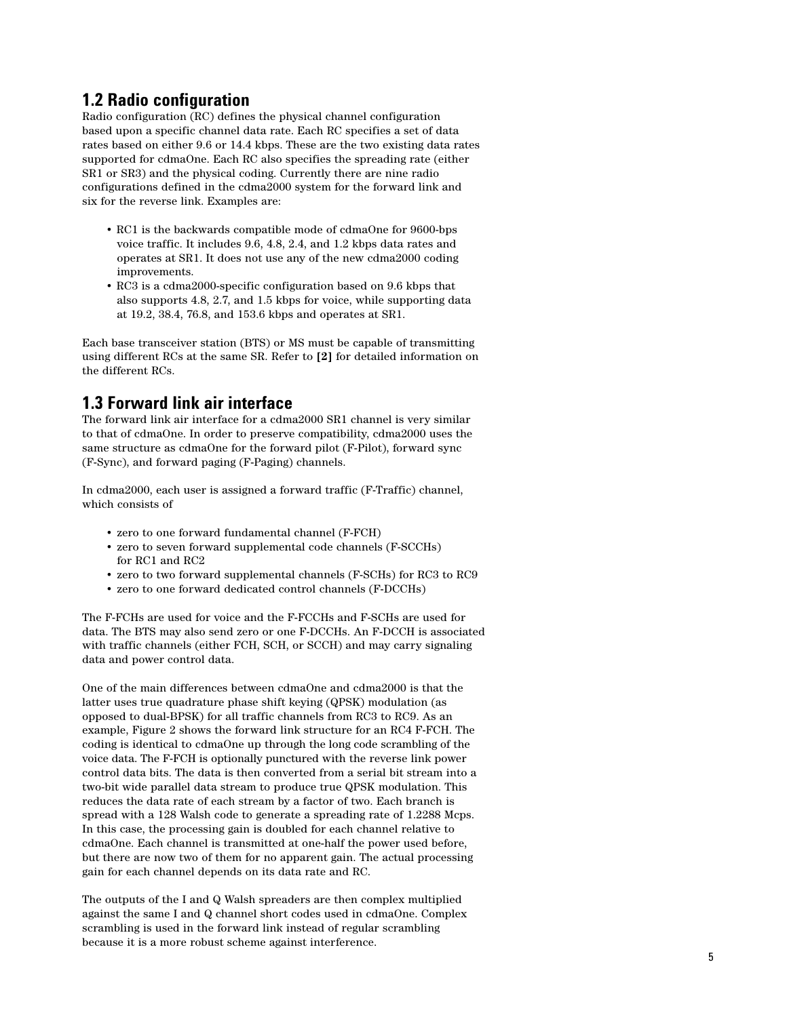## **1.2 Radio configuration**

Radio configuration (RC) defines the physical channel configuration based upon a specific channel data rate. Each RC specifies a set of data rates based on either 9.6 or 14.4 kbps. These are the two existing data rates supported for cdmaOne. Each RC also specifies the spreading rate (either SR1 or SR3) and the physical coding. Currently there are nine radio configurations defined in the cdma2000 system for the forward link and six for the reverse link. Examples are:

- RC1 is the backwards compatible mode of cdmaOne for 9600-bps voice traffic. It includes 9.6, 4.8, 2.4, and 1.2 kbps data rates and operates at SR1. It does not use any of the new cdma2000 coding improvements.
- RC3 is a cdma2000-specific configuration based on 9.6 kbps that also supports 4.8, 2.7, and 1.5 kbps for voice, while supporting data at 19.2, 38.4, 76.8, and 153.6 kbps and operates at SR1.

Each base transceiver station (BTS) or MS must be capable of transmitting using different RCs at the same SR. Refer to **[2]** for detailed information on the different RCs.

## **1.3 Forward link air interface**

The forward link air interface for a cdma2000 SR1 channel is very similar to that of cdmaOne. In order to preserve compatibility, cdma2000 uses the same structure as cdmaOne for the forward pilot (F-Pilot), forward sync (F-Sync), and forward paging (F-Paging) channels.

In cdma2000, each user is assigned a forward traffic (F-Traffic) channel, which consists of

- zero to one forward fundamental channel (F-FCH)
- zero to seven forward supplemental code channels (F-SCCHs) for RC1 and RC2
- zero to two forward supplemental channels (F-SCHs) for RC3 to RC9
- zero to one forward dedicated control channels (F-DCCHs)

The F-FCHs are used for voice and the F-FCCHs and F-SCHs are used for data. The BTS may also send zero or one F-DCCHs. An F-DCCH is associated with traffic channels (either FCH, SCH, or SCCH) and may carry signaling data and power control data.

One of the main differences between cdmaOne and cdma2000 is that the latter uses true quadrature phase shift keying (QPSK) modulation (as opposed to dual-BPSK) for all traffic channels from RC3 to RC9. As an example, Figure 2 shows the forward link structure for an RC4 F-FCH. The coding is identical to cdmaOne up through the long code scrambling of the voice data. The F-FCH is optionally punctured with the reverse link power control data bits. The data is then converted from a serial bit stream into a two-bit wide parallel data stream to produce true QPSK modulation. This reduces the data rate of each stream by a factor of two. Each branch is spread with a 128 Walsh code to generate a spreading rate of 1.2288 Mcps. In this case, the processing gain is doubled for each channel relative to cdmaOne. Each channel is transmitted at one-half the power used before, but there are now two of them for no apparent gain. The actual processing gain for each channel depends on its data rate and RC.

The outputs of the I and Q Walsh spreaders are then complex multiplied against the same I and Q channel short codes used in cdmaOne. Complex scrambling is used in the forward link instead of regular scrambling because it is a more robust scheme against interference.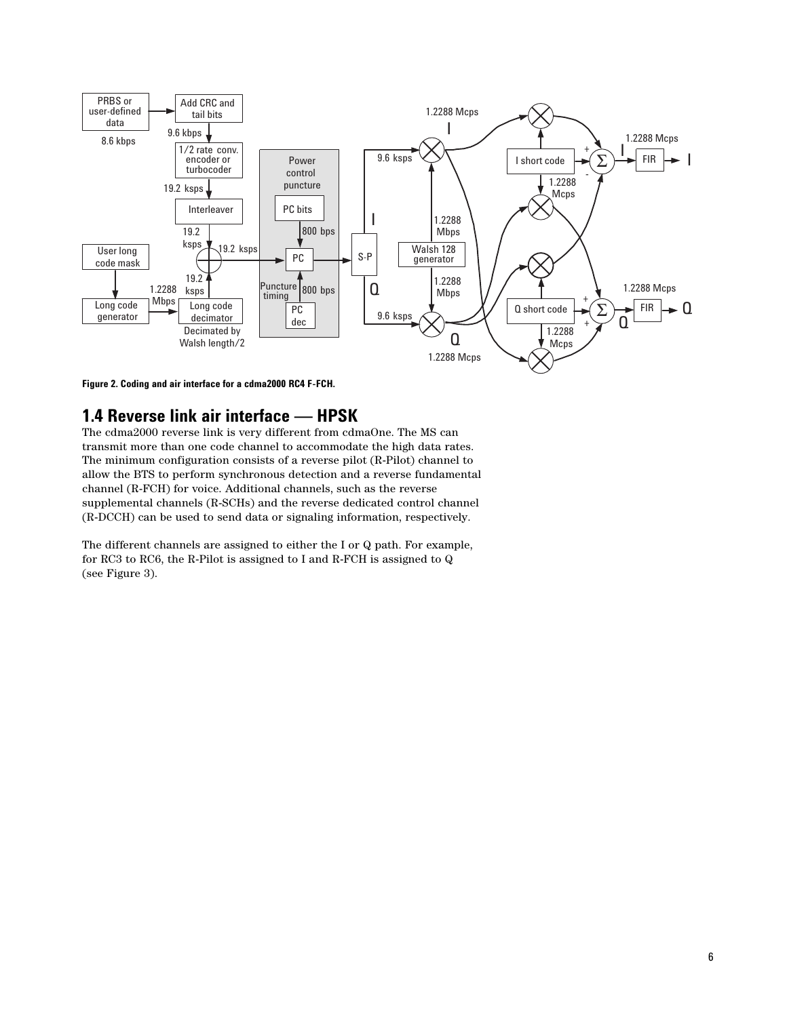

**Figure 2. Coding and air interface for a cdma2000 RC4 F-FCH.**

## **1.4 Reverse link air interface — HPSK**

The cdma2000 reverse link is very different from cdmaOne. The MS can transmit more than one code channel to accommodate the high data rates. The minimum configuration consists of a reverse pilot (R-Pilot) channel to allow the BTS to perform synchronous detection and a reverse fundamental channel (R-FCH) for voice. Additional channels, such as the reverse supplemental channels (R-SCHs) and the reverse dedicated control channel (R-DCCH) can be used to send data or signaling information, respectively.

The different channels are assigned to either the I or Q path. For example, for RC3 to RC6, the R-Pilot is assigned to I and R-FCH is assigned to Q (see Figure 3).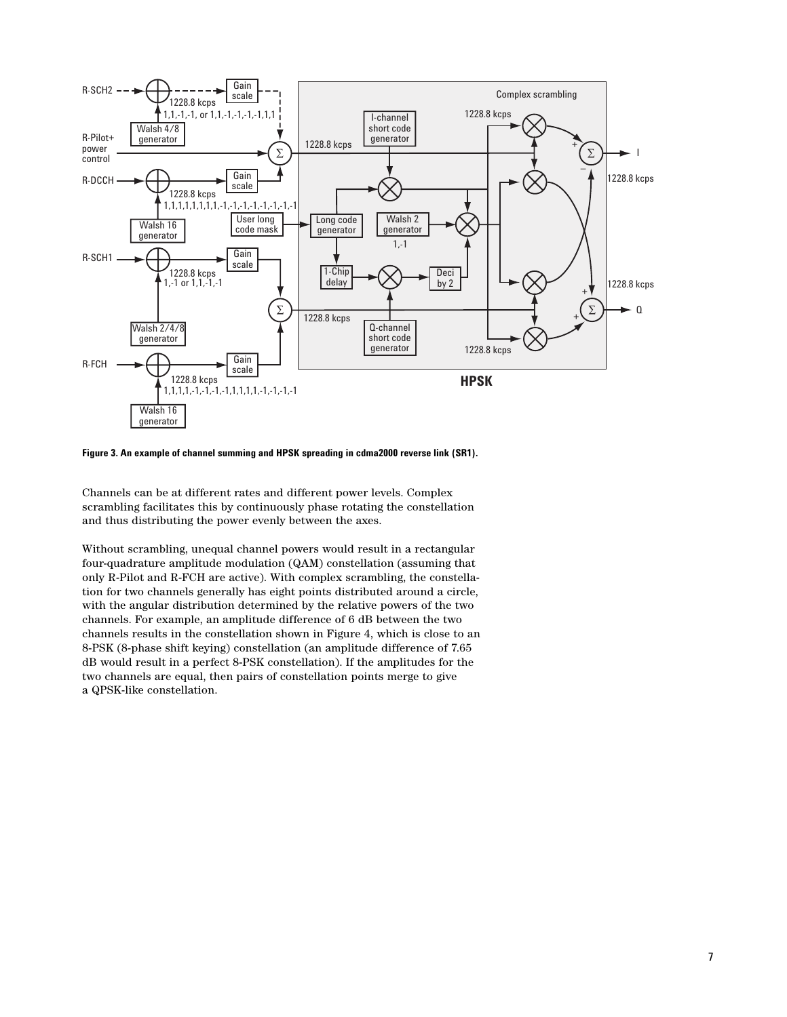

**Figure 3. An example of channel summing and HPSK spreading in cdma2000 reverse link (SR1).** 

Channels can be at different rates and different power levels. Complex scrambling facilitates this by continuously phase rotating the constellation and thus distributing the power evenly between the axes.

Without scrambling, unequal channel powers would result in a rectangular four-quadrature amplitude modulation (QAM) constellation (assuming that only R-Pilot and R-FCH are active). With complex scrambling, the constellation for two channels generally has eight points distributed around a circle, with the angular distribution determined by the relative powers of the two channels. For example, an amplitude difference of 6 dB between the two channels results in the constellation shown in Figure 4, which is close to an 8-PSK (8-phase shift keying) constellation (an amplitude difference of 7.65 dB would result in a perfect 8-PSK constellation). If the amplitudes for the two channels are equal, then pairs of constellation points merge to give a QPSK-like constellation.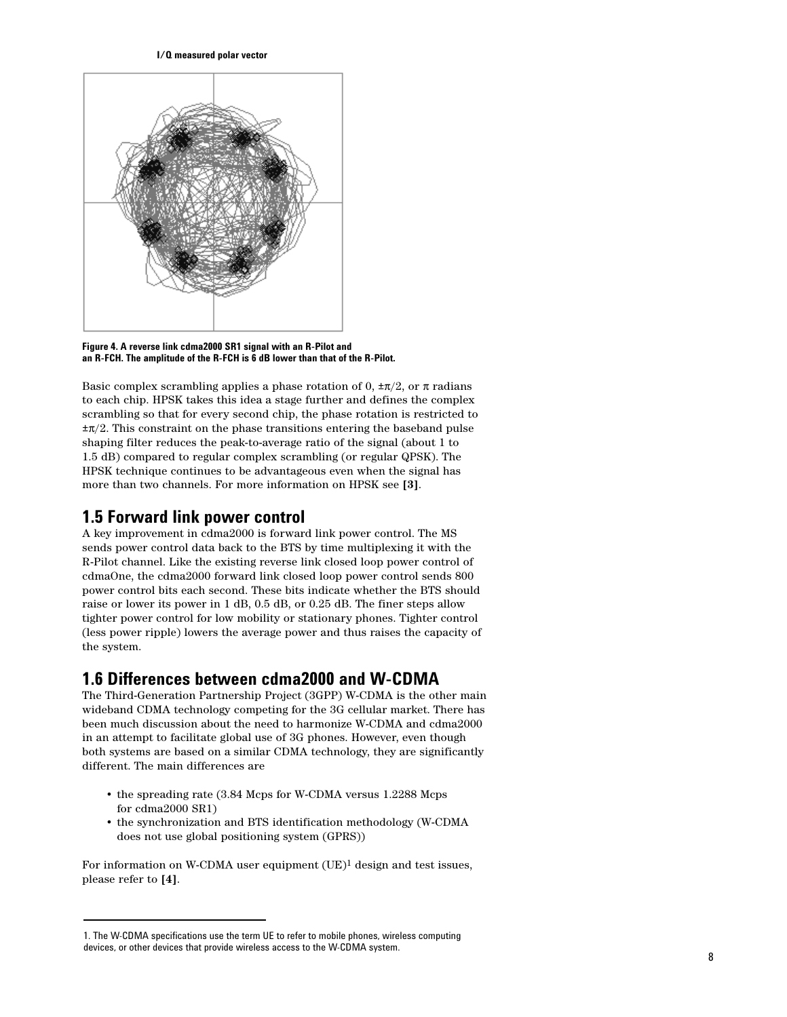**I/Q measured polar vector**



**Figure 4. A reverse link cdma2000 SR1 signal with an R-Pilot and an R-FCH. The amplitude of the R-FCH is 6 dB lower than that of the R-Pilot.**

Basic complex scrambling applies a phase rotation of 0,  $\pm \pi/2$ , or  $\pi$  radians to each chip. HPSK takes this idea a stage further and defines the complex scrambling so that for every second chip, the phase rotation is restricted to  $\pm \pi/2$ . This constraint on the phase transitions entering the baseband pulse shaping filter reduces the peak-to-average ratio of the signal (about 1 to 1.5 dB) compared to regular complex scrambling (or regular QPSK). The HPSK technique continues to be advantageous even when the signal has more than two channels. For more information on HPSK see **[3]**.

## **1.5 Forward link power control**

A key improvement in cdma2000 is forward link power control. The MS sends power control data back to the BTS by time multiplexing it with the R-Pilot channel. Like the existing reverse link closed loop power control of cdmaOne, the cdma2000 forward link closed loop power control sends 800 power control bits each second. These bits indicate whether the BTS should raise or lower its power in 1 dB, 0.5 dB, or 0.25 dB. The finer steps allow tighter power control for low mobility or stationary phones. Tighter control (less power ripple) lowers the average power and thus raises the capacity of the system.

## **1.6 Differences between cdma2000 and W-CDMA**

The Third-Generation Partnership Project (3GPP) W-CDMA is the other main wideband CDMA technology competing for the 3G cellular market. There has been much discussion about the need to harmonize W-CDMA and cdma2000 in an attempt to facilitate global use of 3G phones. However, even though both systems are based on a similar CDMA technology, they are significantly different. The main differences are

- the spreading rate (3.84 Mcps for W-CDMA versus 1.2288 Mcps for cdma2000 SR1)
- the synchronization and BTS identification methodology (W-CDMA does not use global positioning system (GPRS))

For information on W-CDMA user equipment  $(UE)^1$  design and test issues, please refer to **[4]**.

<sup>1.</sup> The W-CDMA specifications use the term UE to refer to mobile phones, wireless computing devices, or other devices that provide wireless access to the W-CDMA system.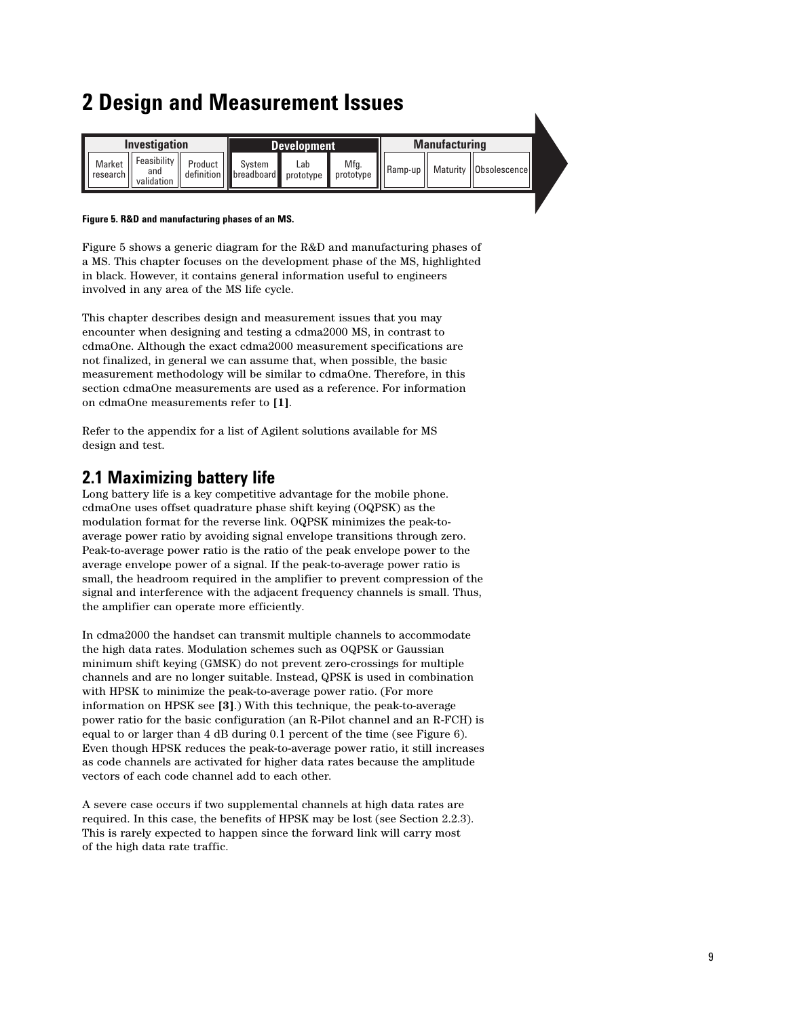# **2 Design and Measurement Issues**

|                              | Investigation                    |                                                                            | <b>Development</b> | <b>Manufacturing</b> |  |                         |  |  |  |
|------------------------------|----------------------------------|----------------------------------------------------------------------------|--------------------|----------------------|--|-------------------------|--|--|--|
| Market<br>$  $ research $  $ | Feasibility<br>and<br>validation | Product   System Lab Mfg.  <br>definition   breadboard prototype prototype |                    | $\ \ $ Ramp-up       |  | Maturity   Obsolescence |  |  |  |

K

#### **Figure 5. R&D and manufacturing phases of an MS.**

Figure 5 shows a generic diagram for the R&D and manufacturing phases of a MS. This chapter focuses on the development phase of the MS, highlighted in black. However, it contains general information useful to engineers involved in any area of the MS life cycle.

This chapter describes design and measurement issues that you may encounter when designing and testing a cdma2000 MS, in contrast to cdmaOne. Although the exact cdma2000 measurement specifications are not finalized, in general we can assume that, when possible, the basic measurement methodology will be similar to cdmaOne. Therefore, in this section cdmaOne measurements are used as a reference. For information on cdmaOne measurements refer to **[1]**.

Refer to the appendix for a list of Agilent solutions available for MS design and test.

## **2.1 Maximizing battery life**

Long battery life is a key competitive advantage for the mobile phone. cdmaOne uses offset quadrature phase shift keying (OQPSK) as the modulation format for the reverse link. OQPSK minimizes the peak-toaverage power ratio by avoiding signal envelope transitions through zero. Peak-to-average power ratio is the ratio of the peak envelope power to the average envelope power of a signal. If the peak-to-average power ratio is small, the headroom required in the amplifier to prevent compression of the signal and interference with the adjacent frequency channels is small. Thus, the amplifier can operate more efficiently.

In cdma2000 the handset can transmit multiple channels to accommodate the high data rates. Modulation schemes such as OQPSK or Gaussian minimum shift keying (GMSK) do not prevent zero-crossings for multiple channels and are no longer suitable. Instead, QPSK is used in combination with HPSK to minimize the peak-to-average power ratio. (For more information on HPSK see **[3]**.) With this technique, the peak-to-average power ratio for the basic configuration (an R-Pilot channel and an R-FCH) is equal to or larger than 4 dB during 0.1 percent of the time (see Figure 6). Even though HPSK reduces the peak-to-average power ratio, it still increases as code channels are activated for higher data rates because the amplitude vectors of each code channel add to each other.

A severe case occurs if two supplemental channels at high data rates are required. In this case, the benefits of HPSK may be lost (see Section 2.2.3). This is rarely expected to happen since the forward link will carry most of the high data rate traffic.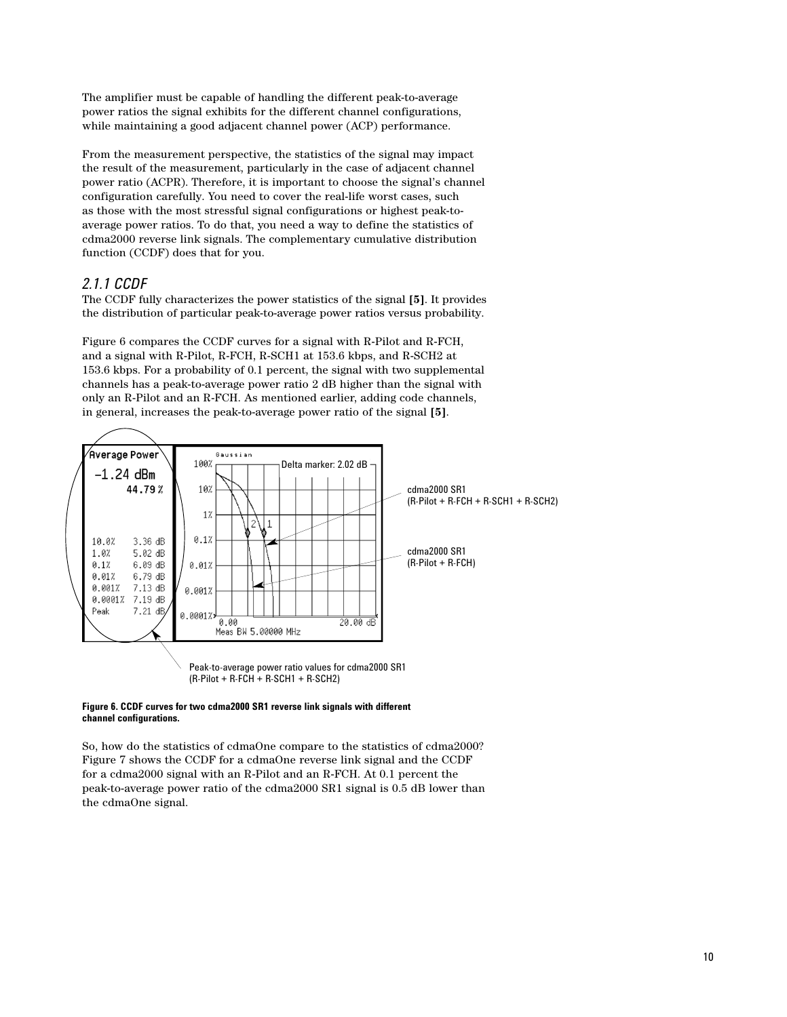The amplifier must be capable of handling the different peak-to-average power ratios the signal exhibits for the different channel configurations, while maintaining a good adjacent channel power (ACP) performance.

From the measurement perspective, the statistics of the signal may impact the result of the measurement, particularly in the case of adjacent channel power ratio (ACPR). Therefore, it is important to choose the signal's channel configuration carefully. You need to cover the real-life worst cases, such as those with the most stressful signal configurations or highest peak-toaverage power ratios. To do that, you need a way to define the statistics of cdma2000 reverse link signals. The complementary cumulative distribution function (CCDF) does that for you.

## *2.1.1 CCDF*

The CCDF fully characterizes the power statistics of the signal **[5]**. It provides the distribution of particular peak-to-average power ratios versus probability.

Figure 6 compares the CCDF curves for a signal with R-Pilot and R-FCH, and a signal with R-Pilot, R-FCH, R-SCH1 at 153.6 kbps, and R-SCH2 at 153.6 kbps. For a probability of 0.1 percent, the signal with two supplemental channels has a peak-to-average power ratio 2 dB higher than the signal with only an R-Pilot and an R-FCH. As mentioned earlier, adding code channels, in general, increases the peak-to-average power ratio of the signal **[5]**.



#### **Figure 6. CCDF curves for two cdma2000 SR1 reverse link signals with different channel configurations.**

So, how do the statistics of cdmaOne compare to the statistics of cdma2000? Figure 7 shows the CCDF for a cdmaOne reverse link signal and the CCDF for a cdma2000 signal with an R-Pilot and an R-FCH. At 0.1 percent the peak-to-average power ratio of the cdma2000 SR1 signal is 0.5 dB lower than the cdmaOne signal.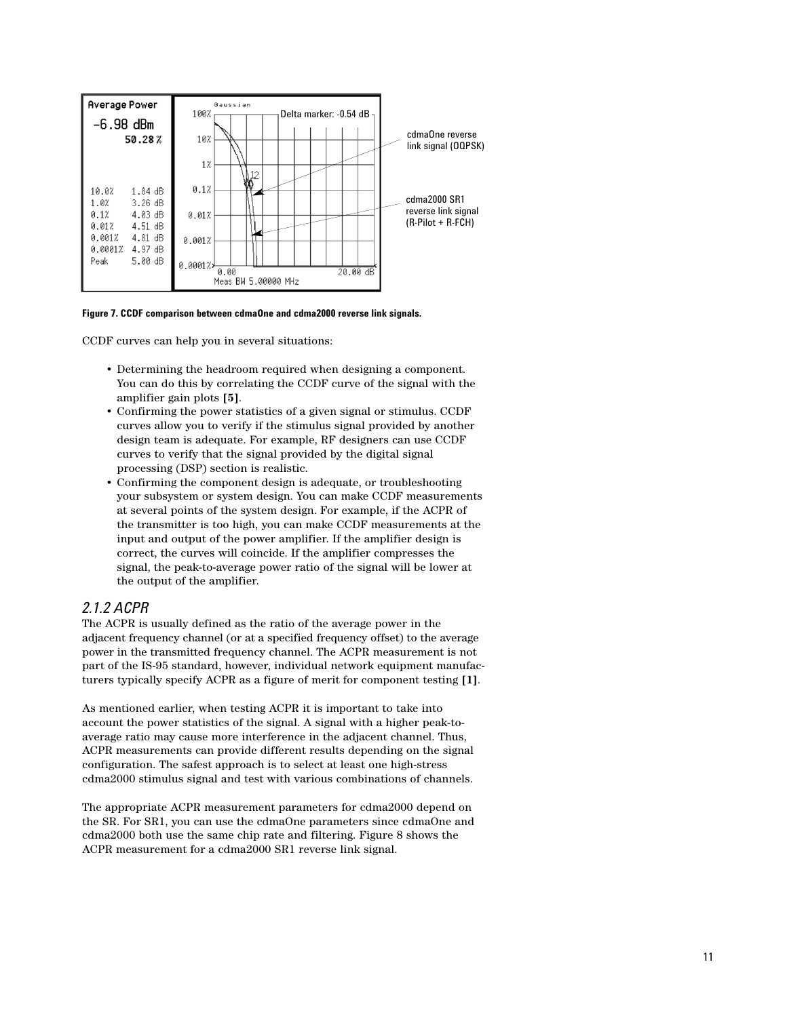

**Figure 7. CCDF comparison between cdmaOne and cdma2000 reverse link signals.**

CCDF curves can help you in several situations:

- Determining the headroom required when designing a component. You can do this by correlating the CCDF curve of the signal with the amplifier gain plots **[5]**.
- Confirming the power statistics of a given signal or stimulus. CCDF curves allow you to verify if the stimulus signal provided by another design team is adequate. For example, RF designers can use CCDF curves to verify that the signal provided by the digital signal processing (DSP) section is realistic.
- Confirming the component design is adequate, or troubleshooting your subsystem or system design. You can make CCDF measurements at several points of the system design. For example, if the ACPR of the transmitter is too high, you can make CCDF measurements at the input and output of the power amplifier. If the amplifier design is correct, the curves will coincide. If the amplifier compresses the signal, the peak-to-average power ratio of the signal will be lower at the output of the amplifier.

#### *2.1.2 ACPR*

The ACPR is usually defined as the ratio of the average power in the adjacent frequency channel (or at a specified frequency offset) to the average power in the transmitted frequency channel. The ACPR measurement is not part of the IS-95 standard, however, individual network equipment manufacturers typically specify ACPR as a figure of merit for component testing **[1]**.

As mentioned earlier, when testing ACPR it is important to take into account the power statistics of the signal. A signal with a higher peak-toaverage ratio may cause more interference in the adjacent channel. Thus, ACPR measurements can provide different results depending on the signal configuration. The safest approach is to select at least one high-stress cdma2000 stimulus signal and test with various combinations of channels.

The appropriate ACPR measurement parameters for cdma2000 depend on the SR. For SR1, you can use the cdmaOne parameters since cdmaOne and cdma2000 both use the same chip rate and filtering. Figure 8 shows the ACPR measurement for a cdma2000 SR1 reverse link signal.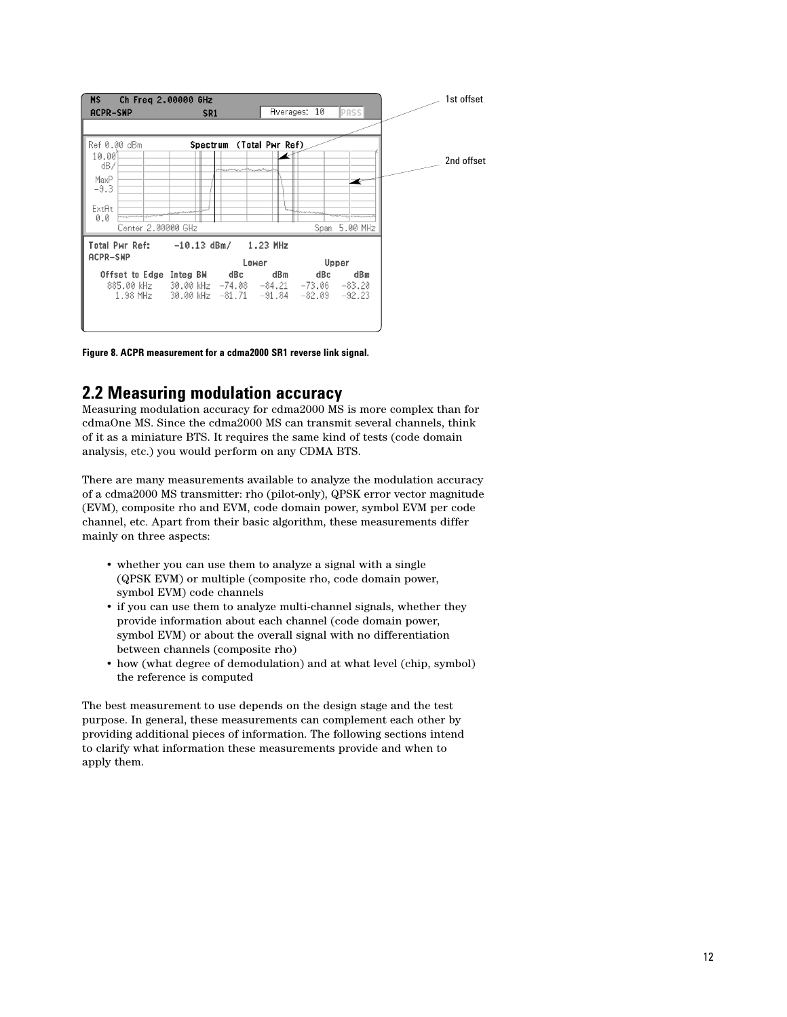

**Figure 8. ACPR measurement for a cdma2000 SR1 reverse link signal.**

## **2.2 Measuring modulation accuracy**

Measuring modulation accuracy for cdma2000 MS is more complex than for cdmaOne MS. Since the cdma2000 MS can transmit several channels, think of it as a miniature BTS. It requires the same kind of tests (code domain analysis, etc.) you would perform on any CDMA BTS.

There are many measurements available to analyze the modulation accuracy of a cdma2000 MS transmitter: rho (pilot-only), QPSK error vector magnitude (EVM), composite rho and EVM, code domain power, symbol EVM per code channel, etc. Apart from their basic algorithm, these measurements differ mainly on three aspects:

- whether you can use them to analyze a signal with a single (QPSK EVM) or multiple (composite rho, code domain power, symbol EVM) code channels
- if you can use them to analyze multi-channel signals, whether they provide information about each channel (code domain power, symbol EVM) or about the overall signal with no differentiation between channels (composite rho)
- how (what degree of demodulation) and at what level (chip, symbol) the reference is computed

The best measurement to use depends on the design stage and the test purpose. In general, these measurements can complement each other by providing additional pieces of information. The following sections intend to clarify what information these measurements provide and when to apply them.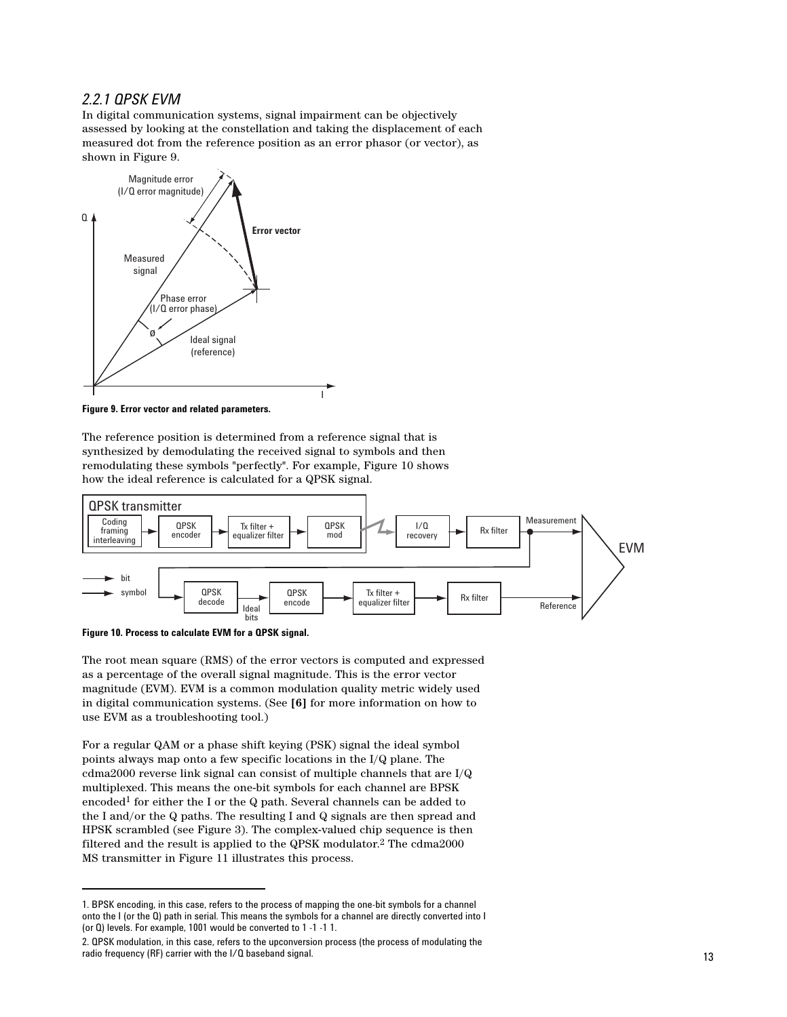### *2.2.1 QPSK EVM*

In digital communication systems, signal impairment can be objectively assessed by looking at the constellation and taking the displacement of each measured dot from the reference position as an error phasor (or vector), as shown in Figure 9.



**Figure 9. Error vector and related parameters.**

The reference position is determined from a reference signal that is synthesized by demodulating the received signal to symbols and then remodulating these symbols "perfectly". For example, Figure 10 shows how the ideal reference is calculated for a QPSK signal.



**Figure 10. Process to calculate EVM for a QPSK signal.**

The root mean square (RMS) of the error vectors is computed and expressed as a percentage of the overall signal magnitude. This is the error vector magnitude (EVM). EVM is a common modulation quality metric widely used in digital communication systems. (See **[6]** for more information on how to use EVM as a troubleshooting tool.)

For a regular QAM or a phase shift keying (PSK) signal the ideal symbol points always map onto a few specific locations in the I/Q plane. The cdma2000 reverse link signal can consist of multiple channels that are I/Q multiplexed. This means the one-bit symbols for each channel are BPSK encoded<sup>1</sup> for either the I or the Q path. Several channels can be added to the I and/or the Q paths. The resulting I and Q signals are then spread and HPSK scrambled (see Figure 3). The complex-valued chip sequence is then filtered and the result is applied to the QPSK modulator.2 The cdma2000 MS transmitter in Figure 11 illustrates this process.

<sup>1.</sup> BPSK encoding, in this case, refers to the process of mapping the one-bit symbols for a channel onto the I (or the Q) path in serial. This means the symbols for a channel are directly converted into I (or Q) levels. For example, 1001 would be converted to 1 -1 -1 1.

<sup>2.</sup> QPSK modulation, in this case, refers to the upconversion process (the process of modulating the radio frequency (RF) carrier with the I/Q baseband signal.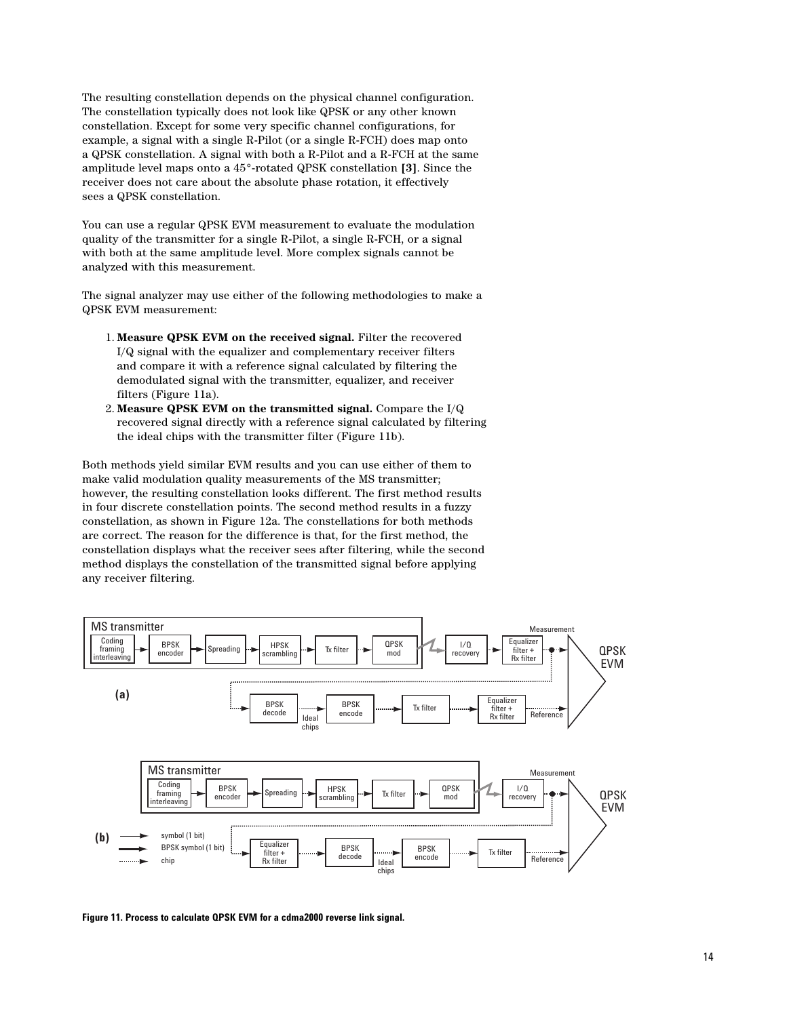The resulting constellation depends on the physical channel configuration. The constellation typically does not look like QPSK or any other known constellation. Except for some very specific channel configurations, for example, a signal with a single R-Pilot (or a single R-FCH) does map onto a QPSK constellation. A signal with both a R-Pilot and a R-FCH at the same amplitude level maps onto a 45°-rotated QPSK constellation **[3]**. Since the receiver does not care about the absolute phase rotation, it effectively sees a QPSK constellation.

You can use a regular QPSK EVM measurement to evaluate the modulation quality of the transmitter for a single R-Pilot, a single R-FCH, or a signal with both at the same amplitude level. More complex signals cannot be analyzed with this measurement.

The signal analyzer may use either of the following methodologies to make a QPSK EVM measurement:

- 1. **Measure QPSK EVM on the received signal.** Filter the recovered I/Q signal with the equalizer and complementary receiver filters and compare it with a reference signal calculated by filtering the demodulated signal with the transmitter, equalizer, and receiver filters (Figure 11a).
- 2. **Measure QPSK EVM on the transmitted signal.** Compare the I/Q recovered signal directly with a reference signal calculated by filtering the ideal chips with the transmitter filter (Figure 11b).

Both methods yield similar EVM results and you can use either of them to make valid modulation quality measurements of the MS transmitter; however, the resulting constellation looks different. The first method results in four discrete constellation points. The second method results in a fuzzy constellation, as shown in Figure 12a. The constellations for both methods are correct. The reason for the difference is that, for the first method, the constellation displays what the receiver sees after filtering, while the second method displays the constellation of the transmitted signal before applying any receiver filtering.



**Figure 11. Process to calculate QPSK EVM for a cdma2000 reverse link signal.**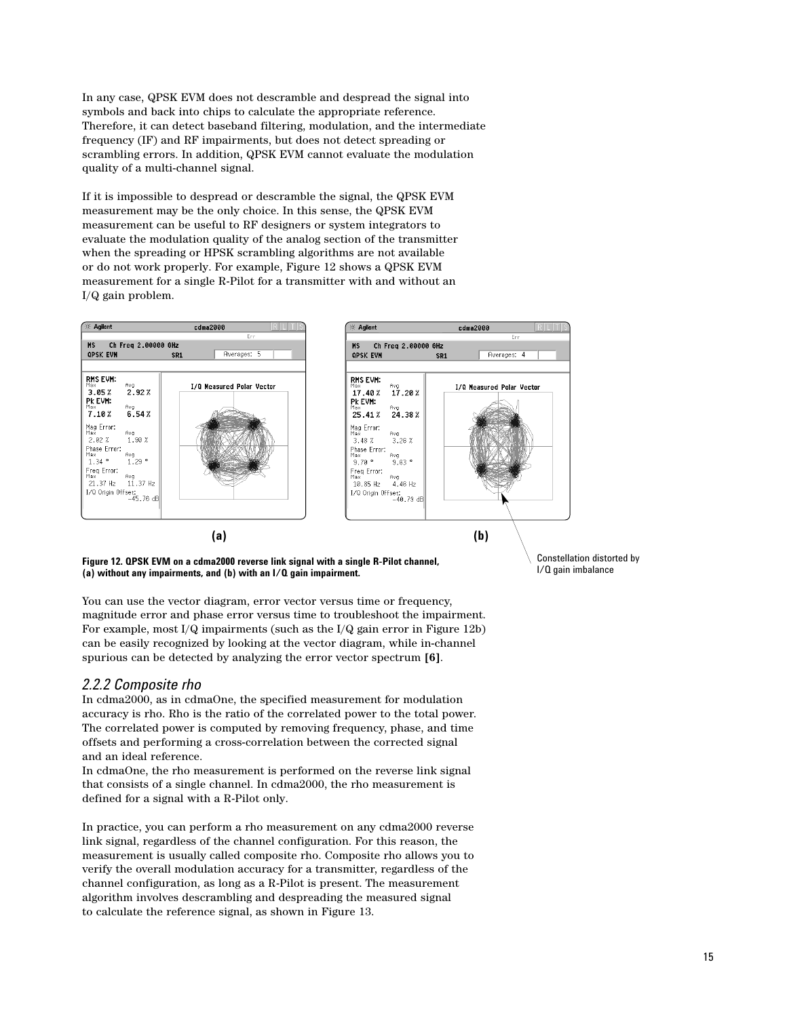In any case, QPSK EVM does not descramble and despread the signal into symbols and back into chips to calculate the appropriate reference. Therefore, it can detect baseband filtering, modulation, and the intermediate frequency (IF) and RF impairments, but does not detect spreading or scrambling errors. In addition, QPSK EVM cannot evaluate the modulation quality of a multi-channel signal.

If it is impossible to despread or descramble the signal, the QPSK EVM measurement may be the only choice. In this sense, the QPSK EVM measurement can be useful to RF designers or system integrators to evaluate the modulation quality of the analog section of the transmitter when the spreading or HPSK scrambling algorithms are not available or do not work properly. For example, Figure 12 shows a QPSK EVM measurement for a single R-Pilot for a transmitter with and without an I/Q gain problem.



**Figure 12. QPSK EVM on a cdma2000 reverse link signal with a single R-Pilot channel, (a) without any impairments, and (b) with an I/Q gain impairment.**

You can use the vector diagram, error vector versus time or frequency, magnitude error and phase error versus time to troubleshoot the impairment. For example, most I/Q impairments (such as the I/Q gain error in Figure 12b) can be easily recognized by looking at the vector diagram, while in-channel spurious can be detected by analyzing the error vector spectrum **[6]**.

#### *2.2.2 Composite rho*

In cdma2000, as in cdmaOne, the specified measurement for modulation accuracy is rho. Rho is the ratio of the correlated power to the total power. The correlated power is computed by removing frequency, phase, and time offsets and performing a cross-correlation between the corrected signal and an ideal reference.

In cdmaOne, the rho measurement is performed on the reverse link signal that consists of a single channel. In cdma2000, the rho measurement is defined for a signal with a R-Pilot only.

In practice, you can perform a rho measurement on any cdma2000 reverse link signal, regardless of the channel configuration. For this reason, the measurement is usually called composite rho. Composite rho allows you to verify the overall modulation accuracy for a transmitter, regardless of the channel configuration, as long as a R-Pilot is present. The measurement algorithm involves descrambling and despreading the measured signal to calculate the reference signal, as shown in Figure 13.

Constellation distorted by I/Q gain imbalance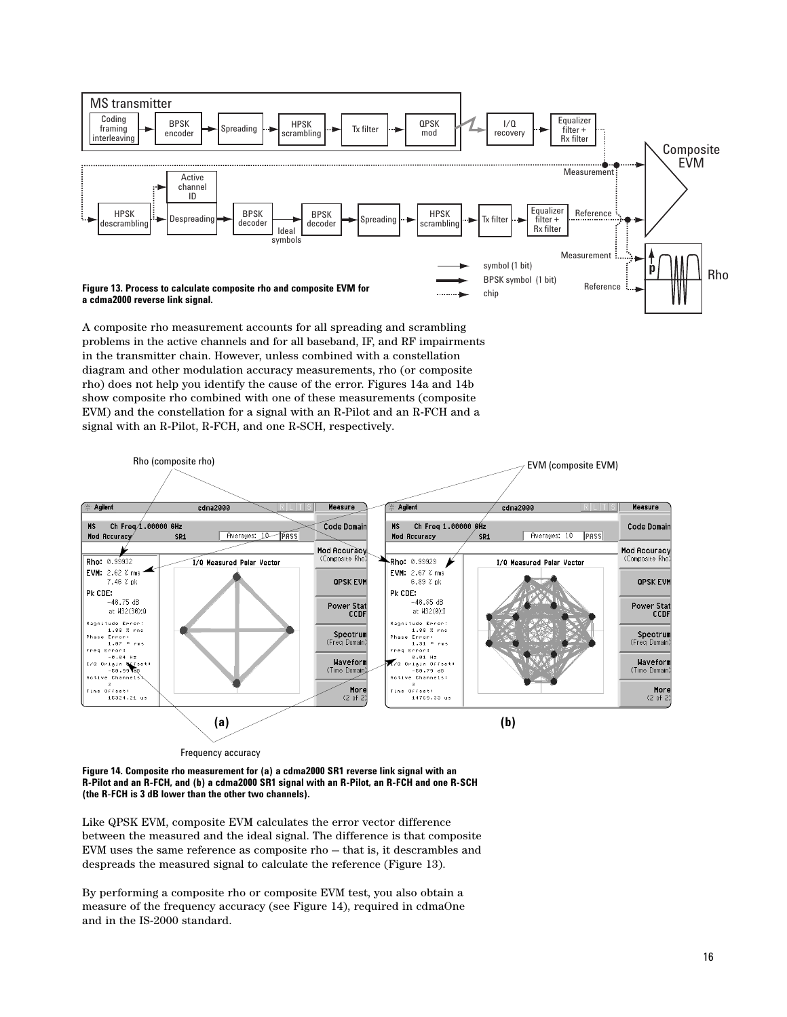

A composite rho measurement accounts for all spreading and scrambling problems in the active channels and for all baseband, IF, and RF impairments in the transmitter chain. However, unless combined with a constellation diagram and other modulation accuracy measurements, rho (or composite rho) does not help you identify the cause of the error. Figures 14a and 14b show composite rho combined with one of these measurements (composite EVM) and the constellation for a signal with an R-Pilot and an R-FCH and a signal with an R-Pilot, R-FCH, and one R-SCH, respectively.



**Figure 14. Composite rho measurement for (a) a cdma2000 SR1 reverse link signal with an R-Pilot and an R-FCH, and (b) a cdma2000 SR1 signal with an R-Pilot, an R-FCH and one R-SCH (the R-FCH is 3 dB lower than the other two channels).**

Like QPSK EVM, composite EVM calculates the error vector difference between the measured and the ideal signal. The difference is that composite EVM uses the same reference as composite rho — that is, it descrambles and despreads the measured signal to calculate the reference (Figure 13).

By performing a composite rho or composite EVM test, you also obtain a measure of the frequency accuracy (see Figure 14), required in cdmaOne and in the IS-2000 standard.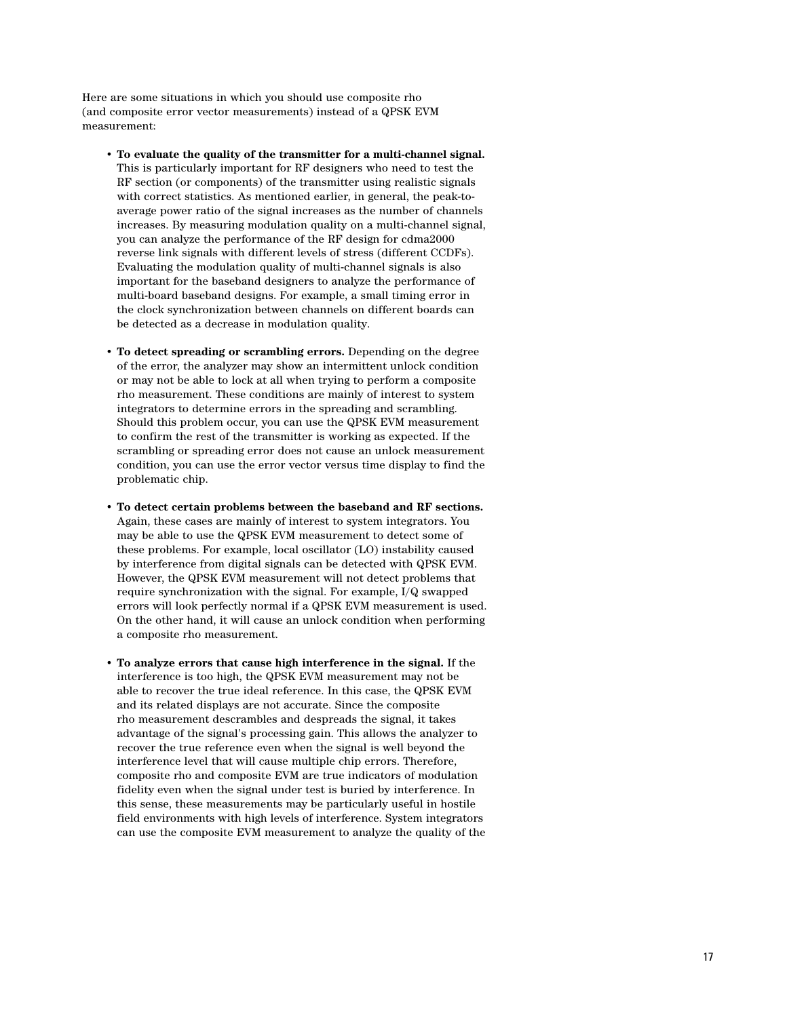Here are some situations in which you should use composite rho (and composite error vector measurements) instead of a QPSK EVM measurement:

- **To evaluate the quality of the transmitter for a multi-channel signal.** This is particularly important for RF designers who need to test the RF section (or components) of the transmitter using realistic signals with correct statistics. As mentioned earlier, in general, the peak-toaverage power ratio of the signal increases as the number of channels increases. By measuring modulation quality on a multi-channel signal, you can analyze the performance of the RF design for cdma2000 reverse link signals with different levels of stress (different CCDFs). Evaluating the modulation quality of multi-channel signals is also important for the baseband designers to analyze the performance of multi-board baseband designs. For example, a small timing error in the clock synchronization between channels on different boards can be detected as a decrease in modulation quality.
- **To detect spreading or scrambling errors.** Depending on the degree of the error, the analyzer may show an intermittent unlock condition or may not be able to lock at all when trying to perform a composite rho measurement. These conditions are mainly of interest to system integrators to determine errors in the spreading and scrambling. Should this problem occur, you can use the QPSK EVM measurement to confirm the rest of the transmitter is working as expected. If the scrambling or spreading error does not cause an unlock measurement condition, you can use the error vector versus time display to find the problematic chip.
- **To detect certain problems between the baseband and RF sections.**  Again, these cases are mainly of interest to system integrators. You may be able to use the QPSK EVM measurement to detect some of these problems. For example, local oscillator (LO) instability caused by interference from digital signals can be detected with QPSK EVM. However, the QPSK EVM measurement will not detect problems that require synchronization with the signal. For example, I/Q swapped errors will look perfectly normal if a QPSK EVM measurement is used. On the other hand, it will cause an unlock condition when performing a composite rho measurement.
- **To analyze errors that cause high interference in the signal.** If the interference is too high, the QPSK EVM measurement may not be able to recover the true ideal reference. In this case, the QPSK EVM and its related displays are not accurate. Since the composite rho measurement descrambles and despreads the signal, it takes advantage of the signal's processing gain. This allows the analyzer to recover the true reference even when the signal is well beyond the interference level that will cause multiple chip errors. Therefore, composite rho and composite EVM are true indicators of modulation fidelity even when the signal under test is buried by interference. In this sense, these measurements may be particularly useful in hostile field environments with high levels of interference. System integrators can use the composite EVM measurement to analyze the quality of the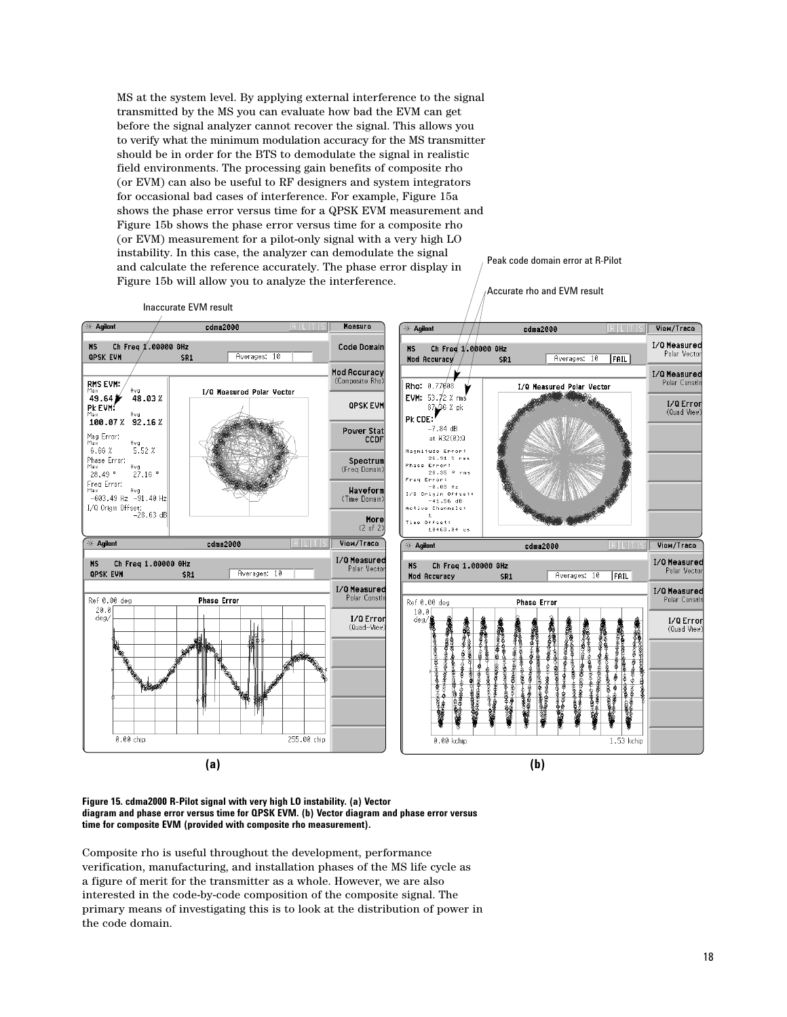MS at the system level. By applying external interference to the signal transmitted by the MS you can evaluate how bad the EVM can get before the signal analyzer cannot recover the signal. This allows you to verify what the minimum modulation accuracy for the MS transmitter should be in order for the BTS to demodulate the signal in realistic field environments. The processing gain benefits of composite rho (or EVM) can also be useful to RF designers and system integrators for occasional bad cases of interference. For example, Figure 15a shows the phase error versus time for a QPSK EVM measurement and Figure 15b shows the phase error versus time for a composite rho (or EVM) measurement for a pilot-only signal with a very high LO instability. In this case, the analyzer can demodulate the signal and calculate the reference accurately. The phase error display in Figure 15b will allow you to analyze the interference.

Peak code domain error at R-Pilot

Inaccurate EVM result

SR<sub>1</sub>

.<br>00000 GHz

Agilent

**QPSK EVM** 

RMS EVM:

 $\overset{max}{49.64}$ 

PK EVM:

Mag Error:<br>Max

Phase Error:<br>Max

 $28.49$   $^{\circ}$ 

**Agilent** 

**QPSK EVM** 

Ref 0.00 deg

0.00 chip

 $\frac{20.0}{\text{deg}/\text{}}$ 

Freq Error:<br><sup>Max</sup>

 $-603.49$  Hz 608.49 Hz −91.40<br>I/Q Origin Offset:<br>28.63 dB−

 $6.66%$ 

**MS** 

Ch Freq

Max<br>100.07% 92.16%

<sup>Ауд</sup><br>**48.03** %

 $5.52 \times$ 

 $^{Avg}_{27.16}$ 

Avg<br>: -91.40 Hz

Ch Freq 1.00000 GHz

SR<sub>1</sub>

cdma2000

cdma2000

**Phase Error** 

Averages: 10

Averages: 10

I/Q Measured Polar Vector



**(a) (b)**

**Figure 15. cdma2000 R-Pilot signal with very high LO instability. (a) Vector diagram and phase error versus time for QPSK EVM. (b) Vector diagram and phase error versus time for composite EVM (provided with composite rho measurement).**

255.00 chip

Composite rho is useful throughout the development, performance verification, manufacturing, and installation phases of the MS life cycle as a figure of merit for the transmitter as a whole. However, we are also interested in the code-by-code composition of the composite signal. The primary means of investigating this is to look at the distribution of power in the code domain.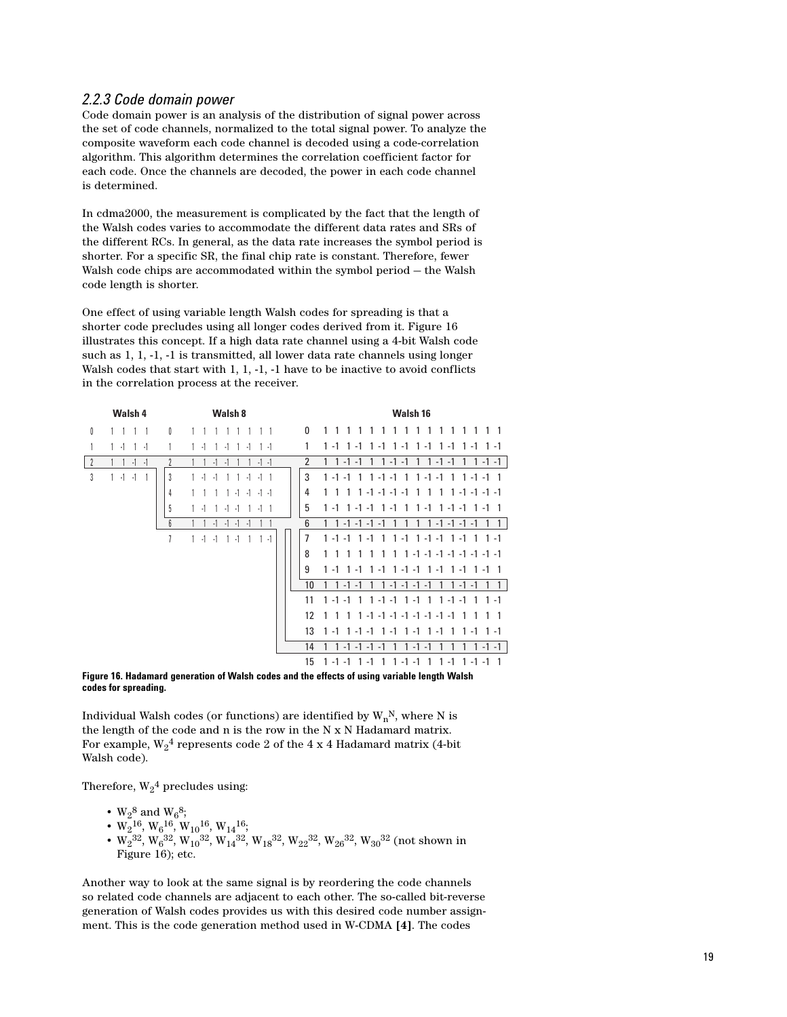#### *2.2.3 Code domain power*

Code domain power is an analysis of the distribution of signal power across the set of code channels, normalized to the total signal power. To analyze the composite waveform each code channel is decoded using a code-correlation algorithm. This algorithm determines the correlation coefficient factor for each code. Once the channels are decoded, the power in each code channel is determined.

In cdma2000, the measurement is complicated by the fact that the length of the Walsh codes varies to accommodate the different data rates and SRs of the different RCs. In general, as the data rate increases the symbol period is shorter. For a specific SR, the final chip rate is constant. Therefore, fewer Walsh code chips are accommodated within the symbol period — the Walsh code length is shorter.

One effect of using variable length Walsh codes for spreading is that a shorter code precludes using all longer codes derived from it. Figure 16 illustrates this concept. If a high data rate channel using a 4-bit Walsh code such as 1, 1, -1, -1 is transmitted, all lower data rate channels using longer Walsh codes that start with 1, 1, -1, -1 have to be inactive to avoid conflicts in the correlation process at the receiver.

|               | Walsh 4            |                | Walsh 8                                        |                | Walsh <sub>16</sub>                                                                          |
|---------------|--------------------|----------------|------------------------------------------------|----------------|----------------------------------------------------------------------------------------------|
| 0             | 1 1<br>$1 \quad 1$ | 0              |                                                | $\mathbf{0}$   | 1<br>1<br>1<br>1                                                                             |
|               | $1 - 1$<br>$1 - 1$ |                | $\cdot$ 1<br>$-1$<br>$-1$<br>$1 - 1$           | 1              | $1 - 1$<br>$1 - 1$<br>$1 - 1$ 1 $-1$<br>$1 - 1$ 1 - 1 1 - 1<br>$1 - 1$                       |
| $\frac{1}{2}$ | $-1$<br>$\cdot$ 1  | $\overline{2}$ | $-1$ $-1$<br>$\cdot$ 1<br>$\cdot$ 1            | $\overline{2}$ | $1 1 - 1 - 1$<br>$1 - 1 - 1$<br>$1 1 - 1 - 1$<br>$1 \t1 - 1 - 1$<br>$\mathbf{1}$             |
| 3             | $1 - 1 - 1$        | 3              | $1 - 1$<br>$-1$<br>$-1$ $-1$ 1<br>$\mathbf{1}$ | 3              | $1 - 1 - 1$<br>$1 - 1 - 1$ 1<br>$1 - 1 - 1$ 1 1 - 1 - 1 1<br>$\overline{1}$                  |
|               |                    | 4              | $-1$<br>$-1$ $-1$<br>$-1$                      | 4              | 1<br>$\mathbf{1}$<br>$-1$ $-1$ $-1$ $-1$<br>$1 - 1 - 1 - 1 - 1$<br>1 1<br>1<br>1<br>1        |
|               |                    | 5              | $-1$ 1<br>$-1$<br>$-1$<br>-1                   | 5              | $1 - 1$ 1 - 1 - 1<br>$\mathbf{1}$<br>$-1$<br>$1 - 1 - 1$ 1 - 1 1<br>1<br>$-1$<br>1           |
|               |                    | 6              |                                                | 6              | $1 \t1 - 1 - 1 - 1 - 1$<br>$1 - 1 - 1 - 1 - 1$<br>1                                          |
|               |                    | 7              | $1 - 1$<br>$\cdot$ 1<br>$-1$<br>$1 - 1$<br>1   | $\overline{1}$ | $1 - 1$ $1 - 1 - 1$ $1 - 1$<br>$1 - 1 - 1$ 1 $-1$<br>$\overline{1}$<br>$1 \t1 - 1$           |
|               |                    |                |                                                | 8              | $1 \t1 - 1 - 1 - 1 - 1 - 1 - 1 - 1 - 1$<br>1                                                 |
|               |                    |                |                                                | 9              | $1 - 1$ 1 $-1$<br>$1 - 1$<br>$1 - 1 - 1$ 1 - 1 1 - 1 1 - 1<br>$\overline{\phantom{0}}$       |
|               |                    |                |                                                | 10             | $1 - 1 - 1 - 1 - 1$<br>$1 - 1 - 1$<br>$1 - 1 - 1$<br>1<br>1                                  |
|               |                    |                |                                                | 11             | $1 - 1 - 1$ 1 - 1<br>$1 - 1 - 1$<br>$\overline{1}$<br>$1 - 1 - 1$<br>$\overline{1}$          |
|               |                    |                |                                                | 12             | $1 - 1 - 1 - 1 - 1 - 1 - 1 - 1 - 1$<br>$\overline{1}$<br>$\mathbf{1}$<br>1<br>$\overline{1}$ |
|               |                    |                |                                                | 13             | $1 - 1 - 1$ 1 - 1 1 - 1<br>$1 - 1$<br>$1 - 1$<br>1<br>$1 - 1$ 1 $-1$                         |
|               |                    |                |                                                | 14             | $-1$<br>$-1$<br>$-1 - 1$<br>$-1$<br>$-1$<br>$-1$                                             |
|               |                    |                |                                                | 15             | $1 - 1 - 1$<br>-1<br>1<br>$-1 - 1$<br>$1 - 1$<br>1<br>1 -1 -1                                |

#### **Figure 16. Hadamard generation of Walsh codes and the effects of using variable length Walsh codes for spreading.**

Individual Walsh codes (or functions) are identified by  $\mathbf{W_{n}^{N},}$  where N is the length of the code and n is the row in the N x N Hadamard matrix. For example,  $\mathrm{W}_2{}^4$  represents code 2 of the 4 x 4 Hadamard matrix (4-bit Walsh code).

Therefore,  $\mathrm{W}_2{}^4$  precludes using:

- $W_2^8$  and  $W_6^8$ ;
- $W_2^{16}$ ,  $W_6^{16}$ ,  $W_{10}^{16}$ ,  $W_{14}^{16}$ ;
- W<sub>2</sub><sup>32</sup>, W<sub>6</sub><sup>32</sup>, W<sub>10</sub><sup>32</sup>, W<sub>14</sub><sup>32</sup>, W<sub>18</sub><sup>32</sup>, W<sub>22</sub><sup>32</sup>, W<sub>26</sub><sup>32</sup>, W<sub>30</sub><sup>32</sup> (not shown in Figure 16); etc.

Another way to look at the same signal is by reordering the code channels so related code channels are adjacent to each other. The so-called bit-reverse generation of Walsh codes provides us with this desired code number assignment. This is the code generation method used in W-CDMA **[4]**. The codes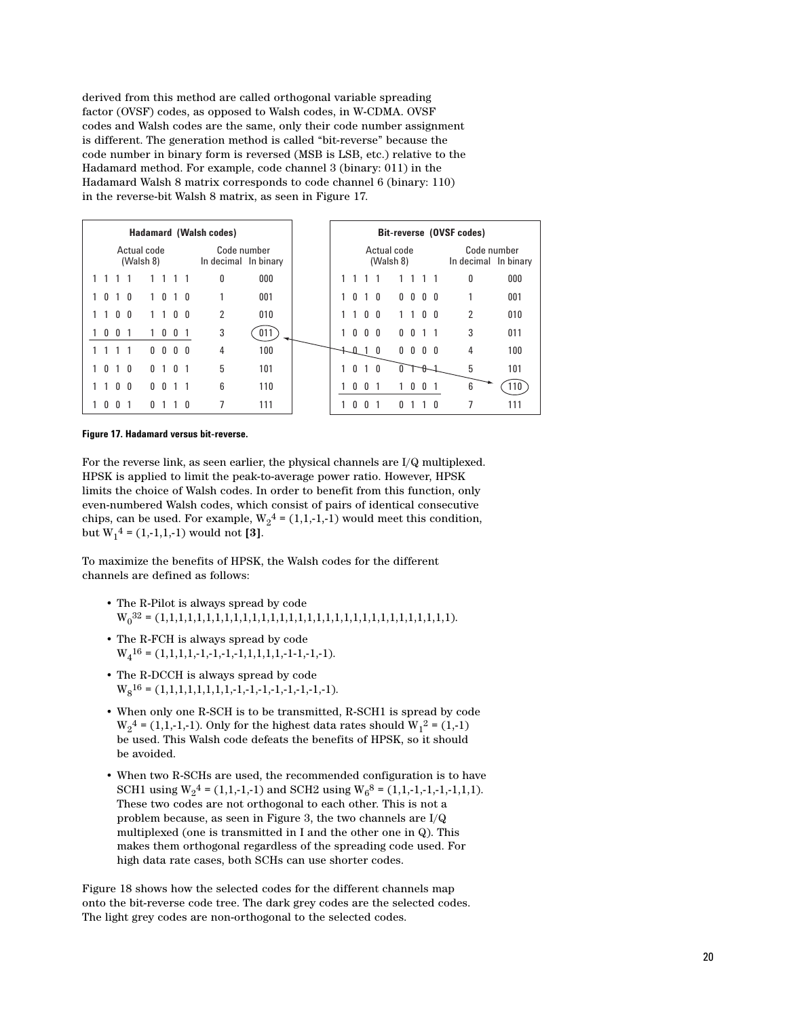derived from this method are called orthogonal variable spreading factor (OVSF) codes, as opposed to Walsh codes, in W-CDMA. OVSF codes and Walsh codes are the same, only their code number assignment is different. The generation method is called "bit-reverse" because the code number in binary form is reversed (MSB is LSB, etc.) relative to the Hadamard method. For example, code channel 3 (binary: 011) in the Hadamard Walsh 8 matrix corresponds to code channel 6 (binary: 110) in the reverse-bit Walsh 8 matrix, as seen in Figure 17.

| <b>Hadamard (Walsh codes)</b> |                |                |                                     |  |                          |                |                | Bit-reverse (OVSF codes) |   |     |                                     |              |              |                   |              |  |              |              |                          |            |  |                |     |
|-------------------------------|----------------|----------------|-------------------------------------|--|--------------------------|----------------|----------------|--------------------------|---|-----|-------------------------------------|--------------|--------------|-------------------|--------------|--|--------------|--------------|--------------------------|------------|--|----------------|-----|
| Actual code<br>(Walsh 8)      |                |                | Code number<br>In decimal In binary |  | Actual code<br>(Walsh 8) |                |                |                          |   |     | Code number<br>In decimal In binary |              |              |                   |              |  |              |              |                          |            |  |                |     |
|                               |                |                |                                     |  |                          |                |                |                          | 0 | 000 |                                     |              |              |                   |              |  |              |              |                          |            |  | 0              | 000 |
|                               | $\mathbf{0}$   | 10             |                                     |  | 1.                       | $\mathbf{0}$   | $\overline{1}$ | - 0                      | 1 | 001 |                                     | $\mathbf{0}$ |              | $\overline{1}$    | $\mathbf{0}$ |  |              |              | $0\quad 0\quad 0\quad 0$ |            |  |                | 001 |
|                               |                | 0 <sub>0</sub> |                                     |  |                          |                | $\mathbf{0}$   | -0                       | 2 | 010 |                                     |              | $\mathbf{1}$ | 0 <sub>0</sub>    |              |  |              |              |                          | $0\quad 0$ |  | $\overline{2}$ | 010 |
|                               | $\overline{0}$ | 0              |                                     |  |                          | 0              | 0              |                          | 3 | 011 |                                     |              |              | $0\quad 0\quad 0$ |              |  | $\mathbf{0}$ |              | $0 \t1 \t1$              |            |  | 3              | 011 |
|                               |                |                |                                     |  | n.                       | $\mathsf{U}$   | $\mathbf{0}$   | $\mathsf{n}$             | 4 | 100 |                                     |              | $\mathsf{n}$ |                   | 0            |  | $\mathbf{0}$ | $\mathbf{0}$ |                          | 0 O        |  | 4              | 100 |
|                               | $\mathbf{0}$   | $1\quad 0$     |                                     |  | $\mathbf{0}$             | $\overline{1}$ | $\mathbf{0}$   |                          | 5 | 101 |                                     | $\mathbf{0}$ |              | $\overline{1}$    | $\mathbf{0}$ |  |              |              | H                        |            |  | 5              | 101 |
|                               | 1              | 0 <sub>0</sub> |                                     |  | $\mathsf{U}$             | $\mathbf{0}$   |                |                          | 6 | 110 |                                     |              | $\mathbf{0}$ | 0                 |              |  |              | 0            | $\mathbf{0}$             |            |  | 6              | 110 |
|                               | $\mathsf{U}$   | <sup>n</sup>   |                                     |  | n.                       |                |                | n                        | 7 | 111 |                                     | <sup>n</sup> |              | $\mathbf{0}$      |              |  | n            |              |                          | 0          |  | 7              | 111 |

#### **Figure 17. Hadamard versus bit-reverse.**

For the reverse link, as seen earlier, the physical channels are I/Q multiplexed. HPSK is applied to limit the peak-to-average power ratio. However, HPSK limits the choice of Walsh codes. In order to benefit from this function, only even-numbered Walsh codes, which consist of pairs of identical consecutive chips, can be used. For example,  $W_2^4 = (1,1,-1,-1)$  would meet this condition, but  $W_1^4 = (1,-1,1,-1)$  would not [3].

To maximize the benefits of HPSK, the Walsh codes for the different channels are defined as follows:

- The R-Pilot is always spread by code W0 32 = (1,1,1,1,1,1,1,1,1,1,1,1,1,1,1,1,1,1,1,1,1,1,1,1,1,1,1,1,1,1,1,1).
- The R-FCH is always spread by code  $W_4^{16} = (1,1,1,1,-1,-1,-1,1,1,1,1,-1,-1,-1,-1).$
- The R-DCCH is always spread by code  $W_8^{16} = (1,1,1,1,1,1,1,1,-1,-1,-1,-1,-1,-1,-1).$
- When only one R-SCH is to be transmitted, R-SCH1 is spread by code  $W_2^4 = (1,1,-1,-1)$ . Only for the highest data rates should  $W_1^2 = (1,-1)$ be used. This Walsh code defeats the benefits of HPSK, so it should be avoided.
- When two R-SCHs are used, the recommended configuration is to have SCH1 using  $W_2^4 = (1,1,-1,-1)$  and SCH2 using  $W_6^8 = (1,1,-1,-1,-1,1,1)$ . These two codes are not orthogonal to each other. This is not a problem because, as seen in Figure 3, the two channels are I/Q multiplexed (one is transmitted in I and the other one in Q). This makes them orthogonal regardless of the spreading code used. For high data rate cases, both SCHs can use shorter codes.

Figure 18 shows how the selected codes for the different channels map onto the bit-reverse code tree. The dark grey codes are the selected codes. The light grey codes are non-orthogonal to the selected codes.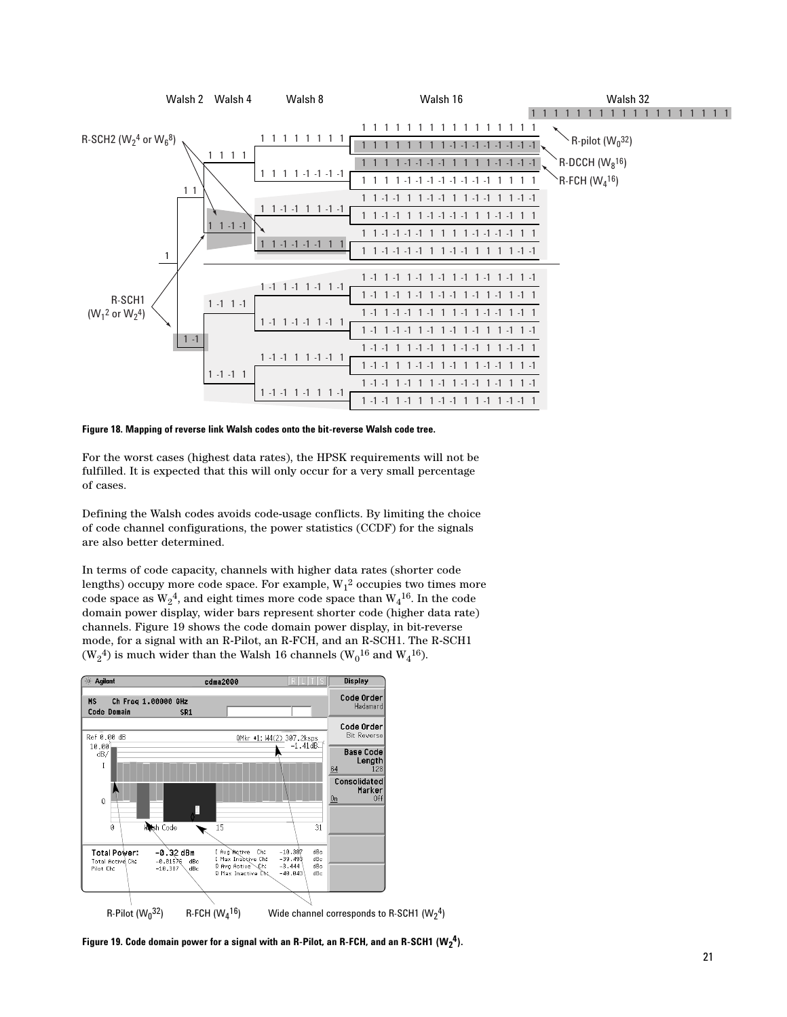

**Figure 18. Mapping of reverse link Walsh codes onto the bit-reverse Walsh code tree.** 

For the worst cases (highest data rates), the HPSK requirements will not be fulfilled. It is expected that this will only occur for a very small percentage of cases.

Defining the Walsh codes avoids code-usage conflicts. By limiting the choice of code channel configurations, the power statistics (CCDF) for the signals are also better determined.

In terms of code capacity, channels with higher data rates (shorter code lengths) occupy more code space. For example,  $\mathrm{W}_1{}^2$  occupies two times more code space as  $\mathrm{W}_2{}^4$ , and eight times more code space than  $\mathrm{W}_4{}^{16}$ . In the code domain power display, wider bars represent shorter code (higher data rate) channels. Figure 19 shows the code domain power display, in bit-reverse mode, for a signal with an R-Pilot, an R-FCH, and an R-SCH1. The R-SCH1  $(\rm W_2^{\,4})$  is much wider than the Walsh 16 channels ( $\rm W_0^{16}$  and  $\rm W_4^{16}$ ).



**Figure 19. Code domain power for a signal with an R-Pilot, an R-FCH, and an R-SCH1 (W2 4).**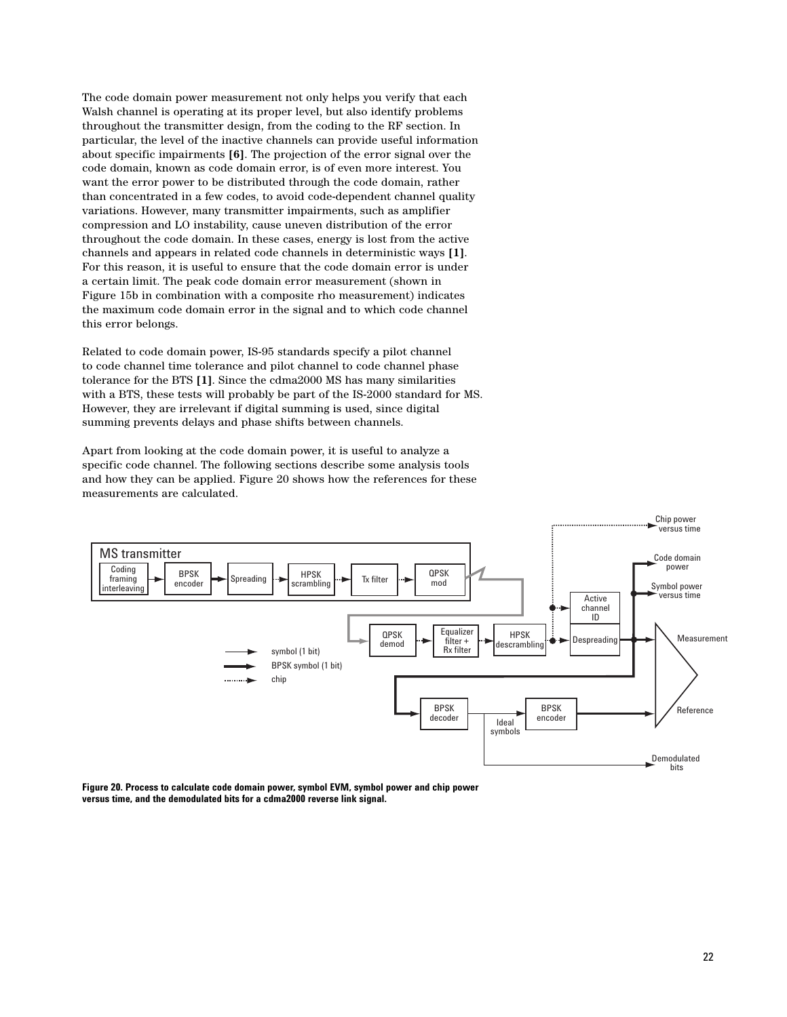The code domain power measurement not only helps you verify that each Walsh channel is operating at its proper level, but also identify problems throughout the transmitter design, from the coding to the RF section. In particular, the level of the inactive channels can provide useful information about specific impairments **[6]**. The projection of the error signal over the code domain, known as code domain error, is of even more interest. You want the error power to be distributed through the code domain, rather than concentrated in a few codes, to avoid code-dependent channel quality variations. However, many transmitter impairments, such as amplifier compression and LO instability, cause uneven distribution of the error throughout the code domain. In these cases, energy is lost from the active channels and appears in related code channels in deterministic ways **[1]**. For this reason, it is useful to ensure that the code domain error is under a certain limit. The peak code domain error measurement (shown in Figure 15b in combination with a composite rho measurement) indicates the maximum code domain error in the signal and to which code channel this error belongs.

Related to code domain power, IS-95 standards specify a pilot channel to code channel time tolerance and pilot channel to code channel phase tolerance for the BTS **[1]**. Since the cdma2000 MS has many similarities with a BTS, these tests will probably be part of the IS-2000 standard for MS. However, they are irrelevant if digital summing is used, since digital summing prevents delays and phase shifts between channels.

Apart from looking at the code domain power, it is useful to analyze a specific code channel. The following sections describe some analysis tools and how they can be applied. Figure 20 shows how the references for these measurements are calculated.



**Figure 20. Process to calculate code domain power, symbol EVM, symbol power and chip power versus time, and the demodulated bits for a cdma2000 reverse link signal.**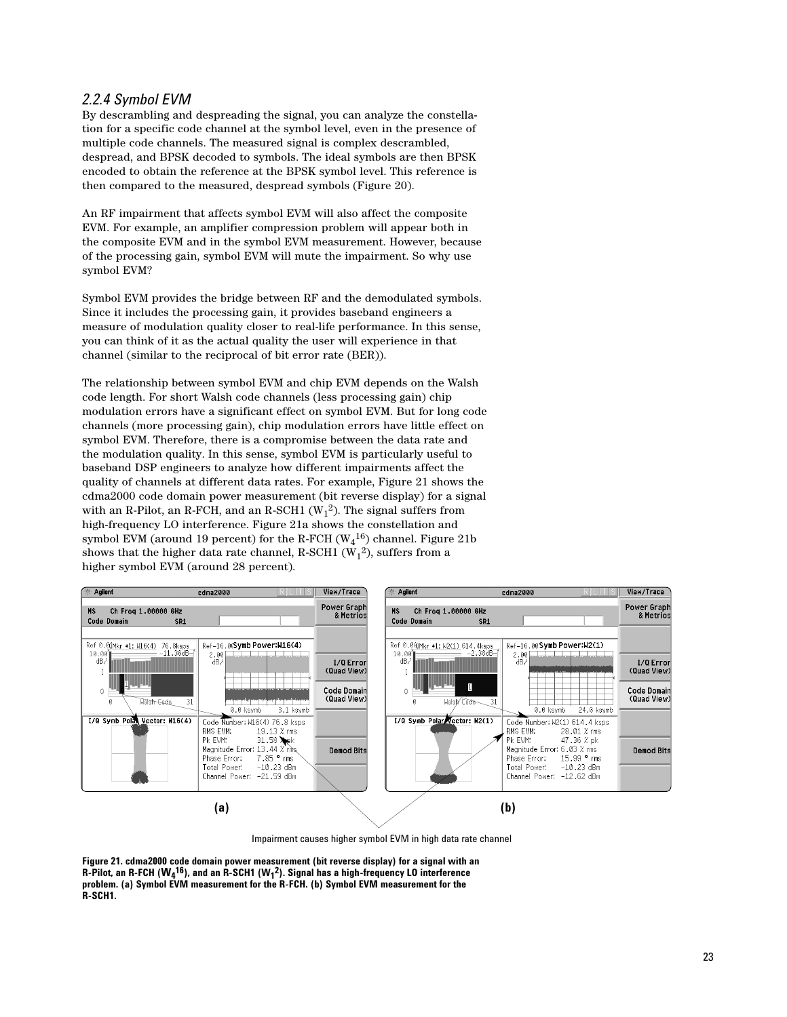#### *2.2.4 Symbol EVM*

By descrambling and despreading the signal, you can analyze the constellation for a specific code channel at the symbol level, even in the presence of multiple code channels. The measured signal is complex descrambled, despread, and BPSK decoded to symbols. The ideal symbols are then BPSK encoded to obtain the reference at the BPSK symbol level. This reference is then compared to the measured, despread symbols (Figure 20).

An RF impairment that affects symbol EVM will also affect the composite EVM. For example, an amplifier compression problem will appear both in the composite EVM and in the symbol EVM measurement. However, because of the processing gain, symbol EVM will mute the impairment. So why use symbol EVM?

Symbol EVM provides the bridge between RF and the demodulated symbols. Since it includes the processing gain, it provides baseband engineers a measure of modulation quality closer to real-life performance. In this sense, you can think of it as the actual quality the user will experience in that channel (similar to the reciprocal of bit error rate (BER)).

The relationship between symbol EVM and chip EVM depends on the Walsh code length. For short Walsh code channels (less processing gain) chip modulation errors have a significant effect on symbol EVM. But for long code channels (more processing gain), chip modulation errors have little effect on symbol EVM. Therefore, there is a compromise between the data rate and the modulation quality. In this sense, symbol EVM is particularly useful to baseband DSP engineers to analyze how different impairments affect the quality of channels at different data rates. For example, Figure 21 shows the cdma2000 code domain power measurement (bit reverse display) for a signal with an R-Pilot, an R-FCH, and an R-SCH1 ( $W_1^2$ ). The signal suffers from high-frequency LO interference. Figure 21a shows the constellation and symbol EVM (around 19 percent) for the R-FCH ( $\rm W_4^{\,16})$  channel. Figure 21b shows that the higher data rate channel, R-SCH1 (W<sub>1</sub><sup>2</sup>), suffers from a higher symbol EVM (around 28 percent).



Impairment causes higher symbol EVM in high data rate channel

**Figure 21. cdma2000 code domain power measurement (bit reverse display) for a signal with an R-Pilot, an R-FCH (W4 16), and an R-SCH1 (W1 2). Signal has a high-frequency LO interference problem. (a) Symbol EVM measurement for the R-FCH. (b) Symbol EVM measurement for the R-SCH1.**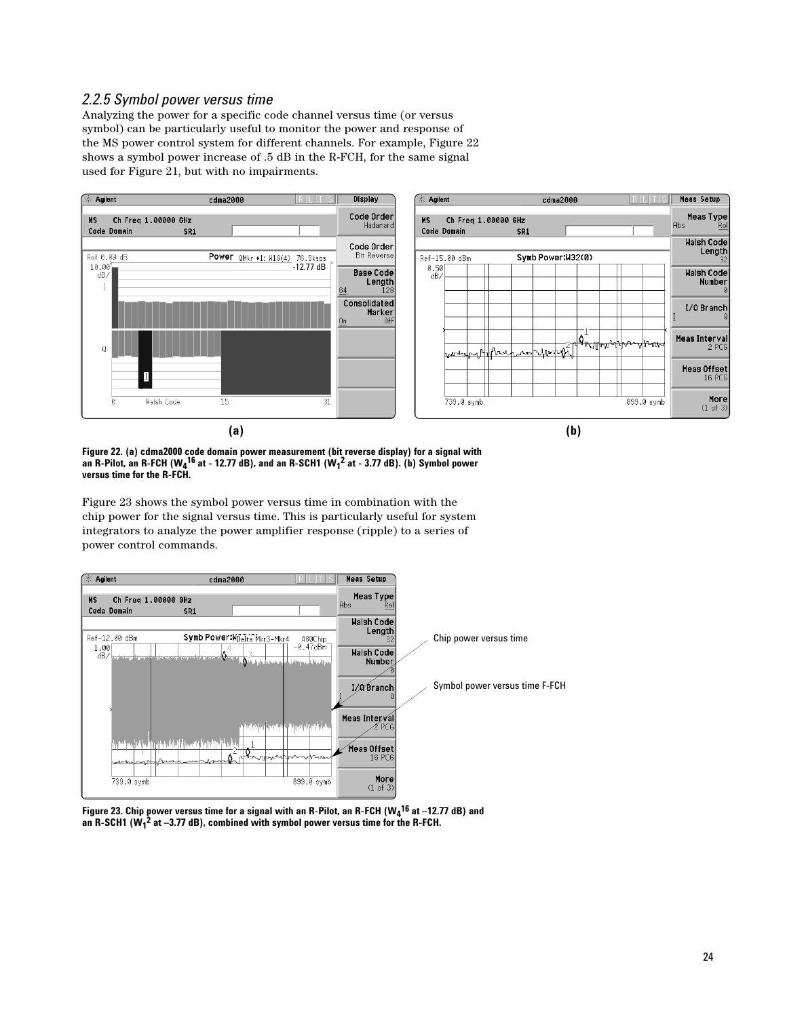#### *2.2.5 Symbol power versus time*

Analyzing the power for a specific code channel versus time (or versus symbol) can be particularly useful to monitor the power and response of the MS power control system for different channels. For example, Figure 22 shows a symbol power increase of .5 dB in the R-FCH, for the same signal used for Figure 21, but with no impairments.



**Figure 22. (a) cdma2000 code domain power measurement (bit reverse display) for a signal with an R-Pilot, an R-FCH (W4 16 at - 12.77 dB), and an R-SCH1 (W1 2 at - 3.77 dB). (b) Symbol power versus time for the R-FCH.** 

Figure 23 shows the symbol power versus time in combination with the chip power for the signal versus time. This is particularly useful for system integrators to analyze the power amplifier response (ripple) to a series of power control commands.



**Figure 23. Chip power versus time for a signal with an R-Pilot, an R-FCH (W4 16 at –12.77 dB) and an R-SCH1 (W1 2 at –3.77 dB), combined with symbol power versus time for the R-FCH.**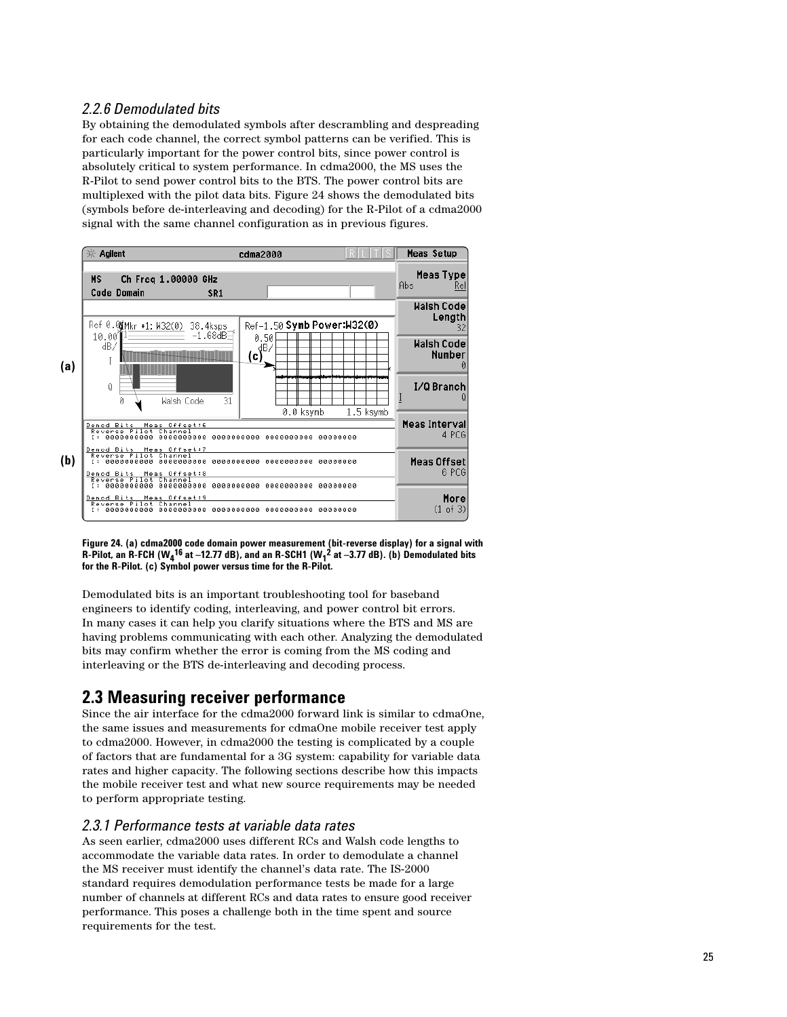### *2.2.6 Demodulated bits*

By obtaining the demodulated symbols after descrambling and despreading for each code channel, the correct symbol patterns can be verified. This is particularly important for the power control bits, since power control is absolutely critical to system performance. In cdma2000, the MS uses the R-Pilot to send power control bits to the BTS. The power control bits are multiplexed with the pilot data bits. Figure 24 shows the demodulated bits (symbols before de-interleaving and decoding) for the R-Pilot of a cdma2000 signal with the same channel configuration as in previous figures.



**Figure 24. (a) cdma2000 code domain power measurement (bit-reverse display) for a signal with R-Pilot, an R-FCH (** $W_4$ **<sup>16</sup> at –12.77 dB), and an R-SCH1 (** $W_1^2$  **at –3.77 dB). (b) Demodulated bits for the R-Pilot. (c) Symbol power versus time for the R-Pilot.**

Demodulated bits is an important troubleshooting tool for baseband engineers to identify coding, interleaving, and power control bit errors. In many cases it can help you clarify situations where the BTS and MS are having problems communicating with each other. Analyzing the demodulated bits may confirm whether the error is coming from the MS coding and interleaving or the BTS de-interleaving and decoding process.

## **2.3 Measuring receiver performance**

Since the air interface for the cdma2000 forward link is similar to cdmaOne, the same issues and measurements for cdmaOne mobile receiver test apply to cdma2000. However, in cdma2000 the testing is complicated by a couple of factors that are fundamental for a 3G system: capability for variable data rates and higher capacity. The following sections describe how this impacts the mobile receiver test and what new source requirements may be needed to perform appropriate testing.

#### *2.3.1 Performance tests at variable data rates*

As seen earlier, cdma2000 uses different RCs and Walsh code lengths to accommodate the variable data rates. In order to demodulate a channel the MS receiver must identify the channel's data rate. The IS-2000 standard requires demodulation performance tests be made for a large number of channels at different RCs and data rates to ensure good receiver performance. This poses a challenge both in the time spent and source requirements for the test.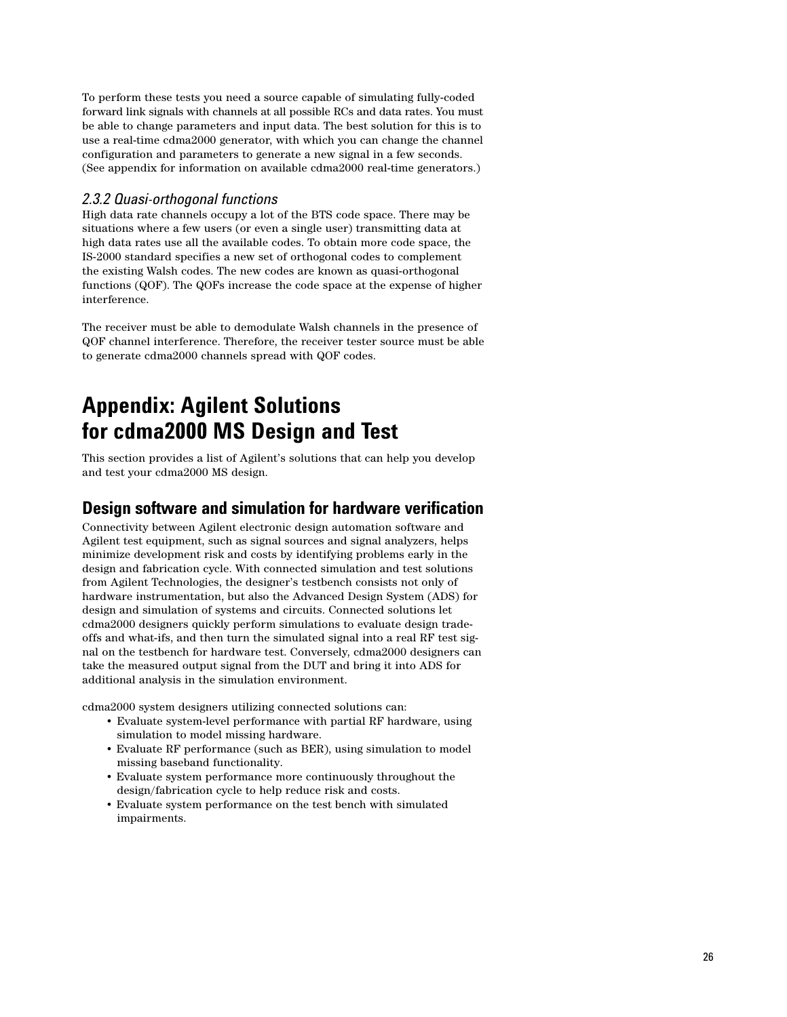To perform these tests you need a source capable of simulating fully-coded forward link signals with channels at all possible RCs and data rates. You must be able to change parameters and input data. The best solution for this is to use a real-time cdma2000 generator, with which you can change the channel configuration and parameters to generate a new signal in a few seconds. (See appendix for information on available cdma2000 real-time generators.)

#### *2.3.2 Quasi-orthogonal functions*

High data rate channels occupy a lot of the BTS code space. There may be situations where a few users (or even a single user) transmitting data at high data rates use all the available codes. To obtain more code space, the IS-2000 standard specifies a new set of orthogonal codes to complement the existing Walsh codes. The new codes are known as quasi-orthogonal functions (QOF). The QOFs increase the code space at the expense of higher interference.

The receiver must be able to demodulate Walsh channels in the presence of QOF channel interference. Therefore, the receiver tester source must be able to generate cdma2000 channels spread with QOF codes.

# **Appendix: Agilent Solutions for cdma2000 MS Design and Test**

This section provides a list of Agilent's solutions that can help you develop and test your cdma2000 MS design.

## **Design software and simulation for hardware verification**

Connectivity between Agilent electronic design automation software and Agilent test equipment, such as signal sources and signal analyzers, helps minimize development risk and costs by identifying problems early in the design and fabrication cycle. With connected simulation and test solutions from Agilent Technologies, the designer's testbench consists not only of hardware instrumentation, but also the Advanced Design System (ADS) for design and simulation of systems and circuits. Connected solutions let cdma2000 designers quickly perform simulations to evaluate design tradeoffs and what-ifs, and then turn the simulated signal into a real RF test signal on the testbench for hardware test. Conversely, cdma2000 designers can take the measured output signal from the DUT and bring it into ADS for additional analysis in the simulation environment.

cdma2000 system designers utilizing connected solutions can:

- Evaluate system-level performance with partial RF hardware, using simulation to model missing hardware.
- Evaluate RF performance (such as BER), using simulation to model missing baseband functionality.
- Evaluate system performance more continuously throughout the design/fabrication cycle to help reduce risk and costs.
- Evaluate system performance on the test bench with simulated impairments.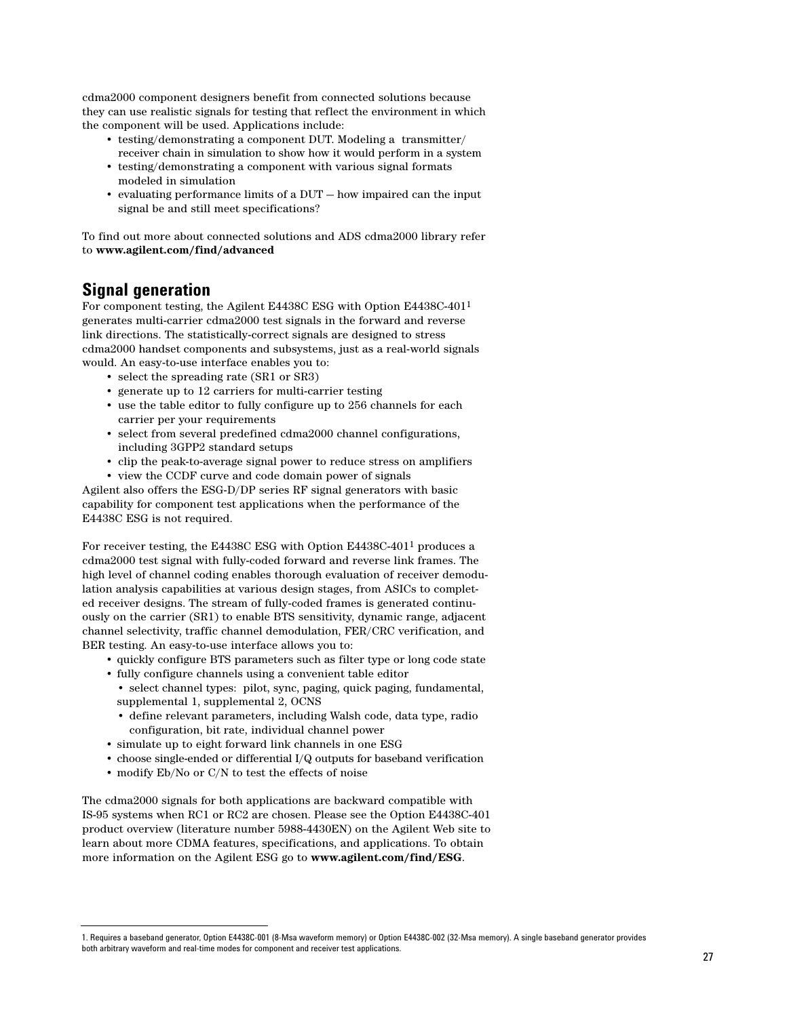cdma2000 component designers benefit from connected solutions because they can use realistic signals for testing that reflect the environment in which the component will be used. Applications include:

- testing/demonstrating a component DUT. Modeling a transmitter/ receiver chain in simulation to show how it would perform in a system
- testing/demonstrating a component with various signal formats modeled in simulation
- evaluating performance limits of a DUT how impaired can the input signal be and still meet specifications?

To find out more about connected solutions and ADS cdma2000 library refer to **www.agilent.com/find/advanced**

## **Signal generation**

For component testing, the Agilent E4438C ESG with Option E4438C-4011 generates multi-carrier cdma2000 test signals in the forward and reverse link directions. The statistically-correct signals are designed to stress cdma2000 handset components and subsystems, just as a real-world signals would. An easy-to-use interface enables you to:

- select the spreading rate (SR1 or SR3)
- generate up to 12 carriers for multi-carrier testing
- use the table editor to fully configure up to 256 channels for each carrier per your requirements
- select from several predefined cdma2000 channel configurations, including 3GPP2 standard setups
- clip the peak-to-average signal power to reduce stress on amplifiers
- view the CCDF curve and code domain power of signals

Agilent also offers the ESG-D/DP series RF signal generators with basic capability for component test applications when the performance of the E4438C ESG is not required.

For receiver testing, the E4438C ESG with Option E4438C-4011 produces a cdma2000 test signal with fully-coded forward and reverse link frames. The high level of channel coding enables thorough evaluation of receiver demodulation analysis capabilities at various design stages, from ASICs to completed receiver designs. The stream of fully-coded frames is generated continuously on the carrier (SR1) to enable BTS sensitivity, dynamic range, adjacent channel selectivity, traffic channel demodulation, FER/CRC verification, and BER testing. An easy-to-use interface allows you to:

- quickly configure BTS parameters such as filter type or long code state
- fully configure channels using a convenient table editor
	- select channel types: pilot, sync, paging, quick paging, fundamental, supplemental 1, supplemental 2, OCNS
	- define relevant parameters, including Walsh code, data type, radio configuration, bit rate, individual channel power
- simulate up to eight forward link channels in one ESG
- choose single-ended or differential I/Q outputs for baseband verification
- modify Eb/No or C/N to test the effects of noise

The cdma2000 signals for both applications are backward compatible with IS-95 systems when RC1 or RC2 are chosen. Please see the Option E4438C-401 product overview (literature number 5988-4430EN) on the Agilent Web site to learn about more CDMA features, specifications, and applications. To obtain more information on the Agilent ESG go to **www.agilent.com/find/ESG**.

<sup>1.</sup> Requires a baseband generator, Option E4438C-001 (8-Msa waveform memory) or Option E4438C-002 (32-Msa memory). A single baseband generator provides both arbitrary waveform and real-time modes for component and receiver test applications.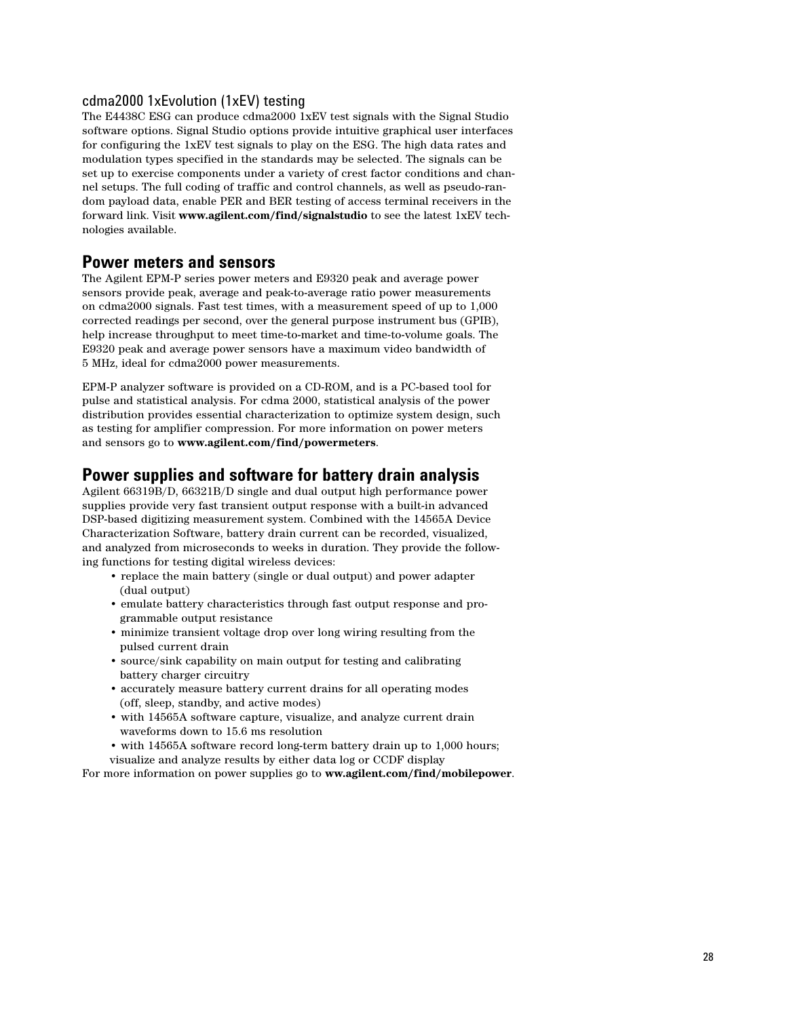#### cdma2000 1xEvolution (1xEV) testing

The E4438C ESG can produce cdma2000 1xEV test signals with the Signal Studio software options. Signal Studio options provide intuitive graphical user interfaces for configuring the 1xEV test signals to play on the ESG. The high data rates and modulation types specified in the standards may be selected. The signals can be set up to exercise components under a variety of crest factor conditions and channel setups. The full coding of traffic and control channels, as well as pseudo-random payload data, enable PER and BER testing of access terminal receivers in the forward link. Visit **www.agilent.com/find/signalstudio** to see the latest 1xEV technologies available.

### **Power meters and sensors**

The Agilent EPM-P series power meters and E9320 peak and average power sensors provide peak, average and peak-to-average ratio power measurements on cdma2000 signals. Fast test times, with a measurement speed of up to 1,000 corrected readings per second, over the general purpose instrument bus (GPIB), help increase throughput to meet time-to-market and time-to-volume goals. The E9320 peak and average power sensors have a maximum video bandwidth of 5 MHz, ideal for cdma2000 power measurements.

EPM-P analyzer software is provided on a CD-ROM, and is a PC-based tool for pulse and statistical analysis. For cdma 2000, statistical analysis of the power distribution provides essential characterization to optimize system design, such as testing for amplifier compression. For more information on power meters and sensors go to **www.agilent.com/find/powermeters**.

## **Power supplies and software for battery drain analysis**

Agilent 66319B/D, 66321B/D single and dual output high performance power supplies provide very fast transient output response with a built-in advanced DSP-based digitizing measurement system. Combined with the 14565A Device Characterization Software, battery drain current can be recorded, visualized, and analyzed from microseconds to weeks in duration. They provide the following functions for testing digital wireless devices:

- replace the main battery (single or dual output) and power adapter (dual output)
- emulate battery characteristics through fast output response and programmable output resistance
- minimize transient voltage drop over long wiring resulting from the pulsed current drain
- source/sink capability on main output for testing and calibrating battery charger circuitry
- accurately measure battery current drains for all operating modes (off, sleep, standby, and active modes)
- with 14565A software capture, visualize, and analyze current drain waveforms down to 15.6 ms resolution
- with 14565A software record long-term battery drain up to 1,000 hours;
- visualize and analyze results by either data log or CCDF display

For more information on power supplies go to **ww.agilent.com/find/mobilepower**.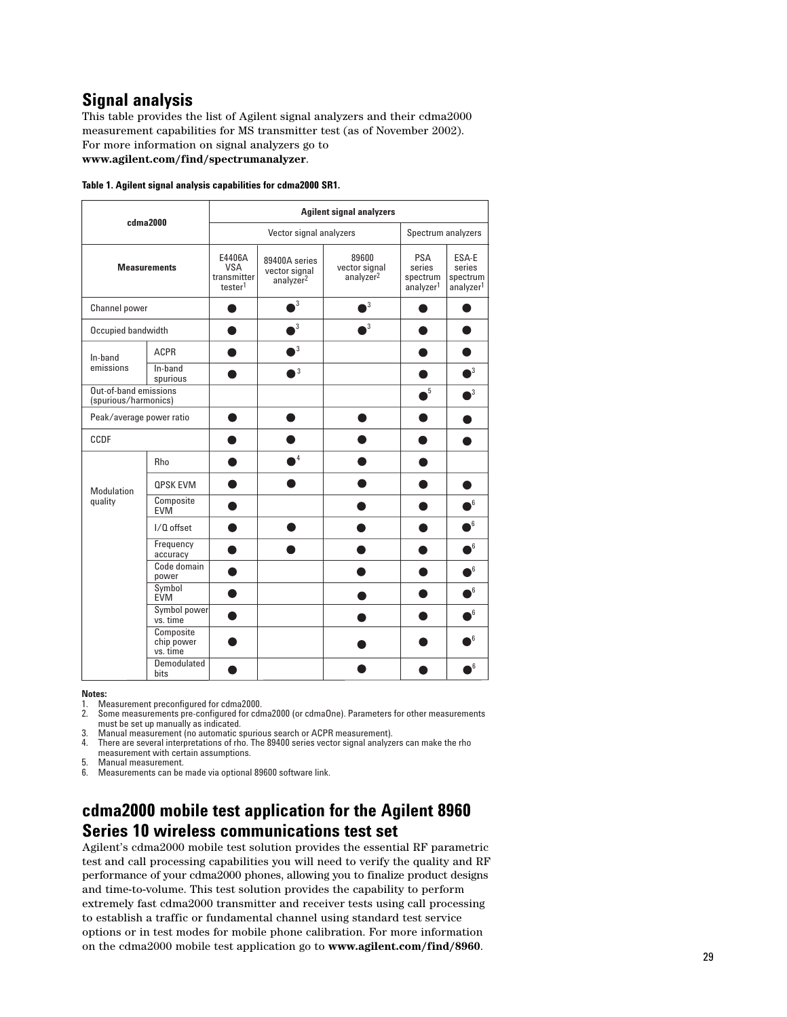## **Signal analysis**

This table provides the list of Agilent signal analyzers and their cdma2000 measurement capabilities for MS transmitter test (as of November 2002). For more information on signal analyzers go to

**www.agilent.com/find/spectrumanalyzer**.

|  |  |  |  |  |  | Table 1. Agilent signal analysis capabilities for cdma2000 SR1. |
|--|--|--|--|--|--|-----------------------------------------------------------------|
|--|--|--|--|--|--|-----------------------------------------------------------------|

|                                               |                                     | <b>Agilent signal analyzers</b>                            |                                                         |                                                 |                                                           |                                                      |  |  |  |  |  |  |
|-----------------------------------------------|-------------------------------------|------------------------------------------------------------|---------------------------------------------------------|-------------------------------------------------|-----------------------------------------------------------|------------------------------------------------------|--|--|--|--|--|--|
|                                               | cdma2000                            |                                                            | Vector signal analyzers                                 | Spectrum analyzers                              |                                                           |                                                      |  |  |  |  |  |  |
|                                               | <b>Measurements</b>                 | E4406A<br><b>VSA</b><br>transmitter<br>tester <sup>1</sup> | 89400A series<br>vector signal<br>analyzer <sup>2</sup> | 89600<br>vector signal<br>analyzer <sup>2</sup> | <b>PSA</b><br>series<br>spectrum<br>analyzer <sup>1</sup> | ESA-E<br>series<br>spectrum<br>analyzer <sup>1</sup> |  |  |  |  |  |  |
| Channel power                                 |                                     |                                                            | $\cdot$                                                 | 3                                               |                                                           |                                                      |  |  |  |  |  |  |
| Occupied bandwidth                            |                                     |                                                            | 3                                                       | 3                                               |                                                           |                                                      |  |  |  |  |  |  |
| In-band                                       | <b>ACPR</b>                         |                                                            | 3                                                       |                                                 |                                                           |                                                      |  |  |  |  |  |  |
| emissions                                     | In-band<br>spurious                 |                                                            | 3                                                       |                                                 |                                                           | 3                                                    |  |  |  |  |  |  |
| Out-of-band emissions<br>(spurious/harmonics) |                                     |                                                            |                                                         |                                                 | 5                                                         | 3                                                    |  |  |  |  |  |  |
| Peak/average power ratio                      |                                     |                                                            |                                                         |                                                 |                                                           |                                                      |  |  |  |  |  |  |
| CCDF                                          |                                     |                                                            |                                                         |                                                 |                                                           |                                                      |  |  |  |  |  |  |
|                                               | <b>Rho</b>                          |                                                            | 4                                                       |                                                 |                                                           |                                                      |  |  |  |  |  |  |
| <b>Modulation</b>                             | <b>OPSK EVM</b>                     |                                                            |                                                         |                                                 |                                                           |                                                      |  |  |  |  |  |  |
| quality                                       | Composite<br><b>EVM</b>             |                                                            |                                                         |                                                 |                                                           | 6                                                    |  |  |  |  |  |  |
|                                               | I/Q offset                          |                                                            |                                                         |                                                 |                                                           | 6                                                    |  |  |  |  |  |  |
|                                               | Frequency<br>accuracy               |                                                            |                                                         |                                                 |                                                           | 6                                                    |  |  |  |  |  |  |
|                                               | Code domain<br>power                |                                                            |                                                         |                                                 |                                                           | 6                                                    |  |  |  |  |  |  |
|                                               | Symbol<br><b>EVM</b>                |                                                            |                                                         |                                                 |                                                           | 6                                                    |  |  |  |  |  |  |
|                                               | Symbol power<br>vs. time            |                                                            |                                                         |                                                 |                                                           | 6                                                    |  |  |  |  |  |  |
|                                               | Composite<br>chip power<br>vs. time |                                                            |                                                         |                                                 |                                                           | 6                                                    |  |  |  |  |  |  |
|                                               | Demodulated<br>bits                 |                                                            |                                                         |                                                 |                                                           | 6                                                    |  |  |  |  |  |  |

**Notes:**

1. Measurement preconfigured for cdma2000.<br>2. Some measurements pre-configured for cdr

2. Some measurements pre-configured for cdma2000 (or cdmaOne). Parameters for other measurements must be set up manually as indicated.

3. Manual measurement (no automatic spurious search or ACPR measurement).

4. There are several interpretations of rho. The 89400 series vector signal analyzers can make the rho measurement with certain assumptions.

5. Manual measurement.<br>6. Measurements can be

6. Measurements can be made via optional 89600 software link.

## **cdma2000 mobile test application for the Agilent 8960 Series 10 wireless communications test set**

Agilent's cdma2000 mobile test solution provides the essential RF parametric test and call processing capabilities you will need to verify the quality and RF performance of your cdma2000 phones, allowing you to finalize product designs and time-to-volume. This test solution provides the capability to perform extremely fast cdma2000 transmitter and receiver tests using call processing to establish a traffic or fundamental channel using standard test service options or in test modes for mobile phone calibration. For more information on the cdma2000 mobile test application go to **www.agilent.com/find/8960**.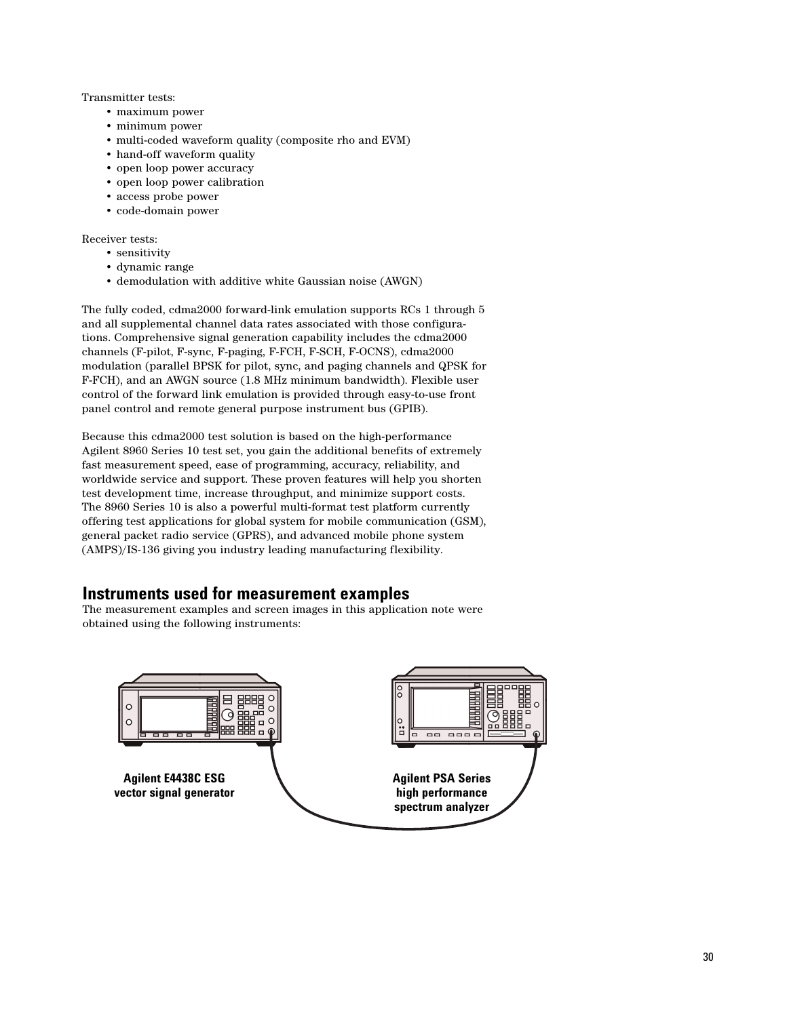Transmitter tests:

- maximum power
- minimum power
- multi-coded waveform quality (composite rho and EVM)
- hand-off waveform quality
- open loop power accuracy
- open loop power calibration
- access probe power
- code-domain power

Receiver tests:

- sensitivity
- dynamic range
- demodulation with additive white Gaussian noise (AWGN)

The fully coded, cdma2000 forward-link emulation supports RCs 1 through 5 and all supplemental channel data rates associated with those configurations. Comprehensive signal generation capability includes the cdma2000 channels (F-pilot, F-sync, F-paging, F-FCH, F-SCH, F-OCNS), cdma2000 modulation (parallel BPSK for pilot, sync, and paging channels and QPSK for F-FCH), and an AWGN source (1.8 MHz minimum bandwidth). Flexible user control of the forward link emulation is provided through easy-to-use front panel control and remote general purpose instrument bus (GPIB).

Because this cdma2000 test solution is based on the high-performance Agilent 8960 Series 10 test set, you gain the additional benefits of extremely fast measurement speed, ease of programming, accuracy, reliability, and worldwide service and support. These proven features will help you shorten test development time, increase throughput, and minimize support costs. The 8960 Series 10 is also a powerful multi-format test platform currently offering test applications for global system for mobile communication (GSM), general packet radio service (GPRS), and advanced mobile phone system (AMPS)/IS-136 giving you industry leading manufacturing flexibility.

## **Instruments used for measurement examples**

The measurement examples and screen images in this application note were obtained using the following instruments:

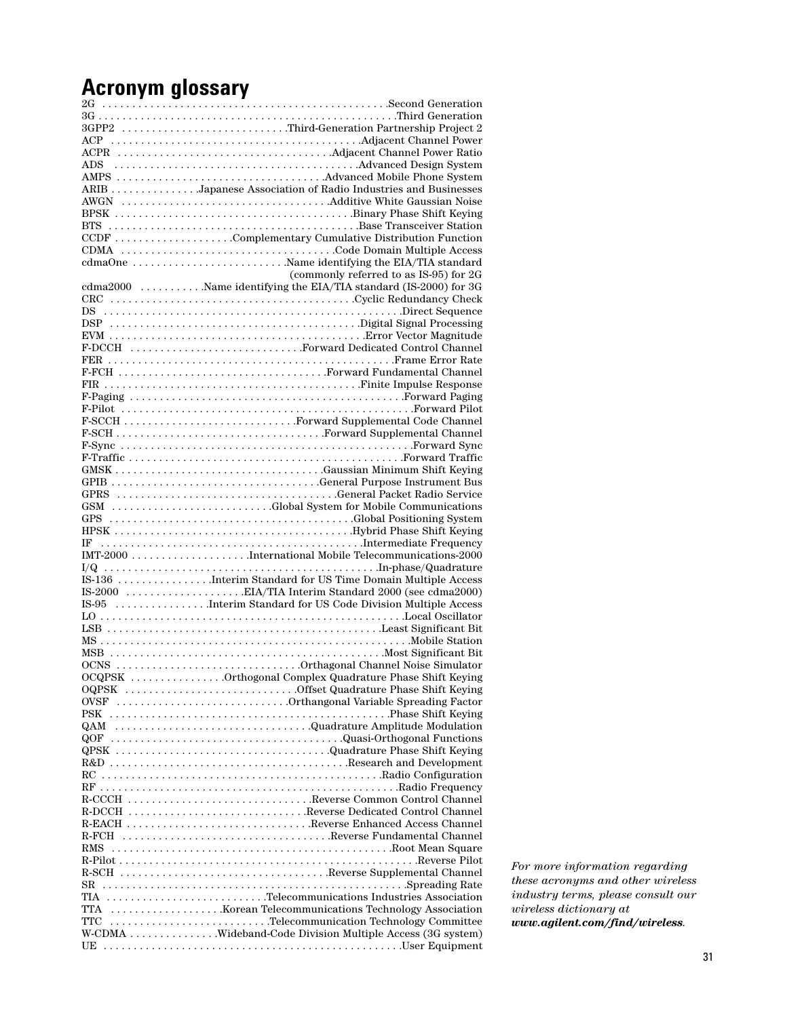# **Acronym glossary**

| 3GPP2 Third-Generation Partnership Project 2                                                              |
|-----------------------------------------------------------------------------------------------------------|
|                                                                                                           |
|                                                                                                           |
|                                                                                                           |
|                                                                                                           |
| ARIB Japanese Association of Radio Industries and Businesses                                              |
|                                                                                                           |
|                                                                                                           |
| CCDF Complementary Cumulative Distribution Function                                                       |
|                                                                                                           |
| cdmaOne Name identifying the EIA/TIA standard                                                             |
| (commonly referred to as IS-95) for 2G                                                                    |
| (commonly referred to as IS-95) for 2G<br>cdma2000 Name identifying the EIA/TIA standard (IS-2000) for 3G |
|                                                                                                           |
|                                                                                                           |
|                                                                                                           |
|                                                                                                           |
|                                                                                                           |
|                                                                                                           |
|                                                                                                           |
|                                                                                                           |
|                                                                                                           |
|                                                                                                           |
|                                                                                                           |
|                                                                                                           |
|                                                                                                           |
|                                                                                                           |
|                                                                                                           |
|                                                                                                           |
|                                                                                                           |
| GSM Global System for Mobile Communications                                                               |
|                                                                                                           |
|                                                                                                           |
|                                                                                                           |
|                                                                                                           |
|                                                                                                           |
|                                                                                                           |
|                                                                                                           |
|                                                                                                           |
|                                                                                                           |
|                                                                                                           |
|                                                                                                           |
| OCQPSK Orthogonal Complex Quadrature Phase Shift Keying                                                   |
|                                                                                                           |
| OVSF Orthangonal Variable Spreading Factor                                                                |
|                                                                                                           |
| QAM Quadrature Amplitude Modulation                                                                       |
| QOF Quasi-Orthogonal Functions                                                                            |
| QPSK Quadrature Phase Shift Keying                                                                        |
|                                                                                                           |
|                                                                                                           |
|                                                                                                           |
| R-CCCH Reverse Common Control Channel                                                                     |
|                                                                                                           |
| R-EACH Reverse Enhanced Access Channel                                                                    |
| R-FCH Reverse Fundamental Channel                                                                         |
|                                                                                                           |
|                                                                                                           |
| R-SCH Reverse Supplemental Channel                                                                        |
| TIA Telecommunications Industries Association                                                             |
|                                                                                                           |
| TTC Telecommunication Technology Committee                                                                |
| W-CDMA Wideband-Code Division Multiple Access (3G system)                                                 |
|                                                                                                           |
|                                                                                                           |

*For more information regarding these acronyms and other wireless industry terms, please consult our wireless dictionary at www.agilent.com/find/wireless.*